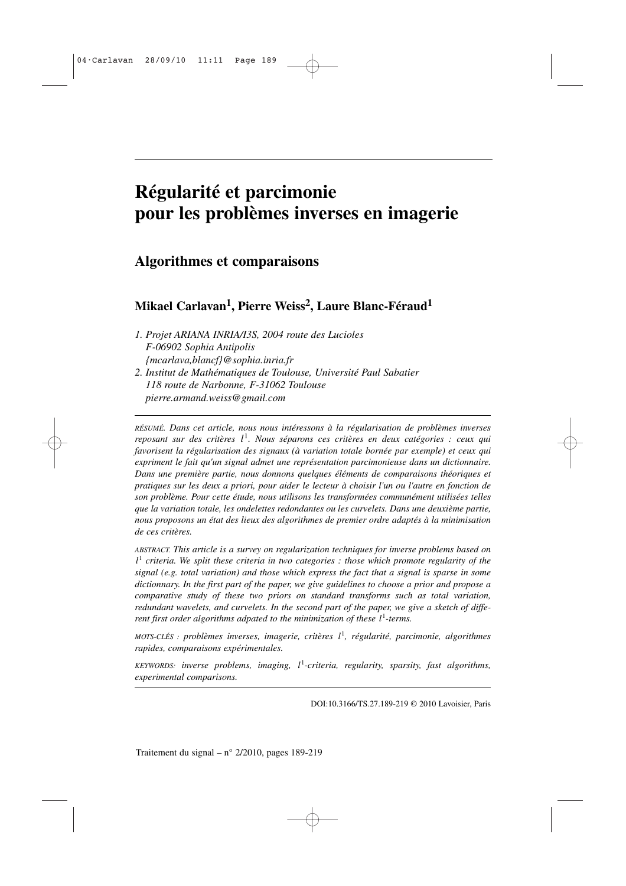## **Régularité et parcimonie pour les problèmes inverses en imagerie**

### **Algorithmes et comparaisons**

## **Mikael Carlavan<sup>1</sup> , Pierre Weiss<sup>2</sup> , Laure Blanc-Féraud<sup>1</sup>**

- *1. Projet ARIANA INRIA/I3S, 2004 route des Lucioles F-06902 Sophia Antipolis {mcarlava,blancf}@sophia.inria.fr 2. Institut de Mathématiques de Toulouse, Université Paul Sabatier*
- *118 route de Narbonne, F-31062 Toulouse pierre.armand.weiss@gmail.com*

*RÉSUMÉ. Dans cet article, nous nous intéressons à la régularisation de problèmes inverses reposant sur des critères l*<sup>1</sup>. Nous séparons ces critères en deux catégories : ceux qui *favorisent la régularisation des signaux (à variation totale bornée par exemple) et ceux qui expriment le fait qu'un signal admet une représentation parcimonieuse dans un dictionnaire. Dans une première partie, nous donnons quelques éléments de comparaisons théoriques et pratiques sur les deux a priori, pour aider le lecteur à choisir l'un ou l'autre en fonction de son problème. Pour cette étude, nous utilisons les transformées communément utilisées telles que la variation totale, les ondelettes redondantes ou les curvelets. Dans une deuxième partie, nous proposons un état des lieux des algorithmes de premier ordre adaptés à la minimisation de ces critères.*

*ABSTRACT. This article is a survey on regularization techniques for inverse problems based on l* 1 *criteria. We split these criteria in two categories : those which promote regularity of the signal (e.g. total variation) and those which express the fact that a signal is sparse in some dictionnary. In the first part of the paper, we give guidelines to choose a prior and propose a comparative study of these two priors on standard transforms such as total variation, redundant wavelets, and curvelets. In the second part of the paper, we give a sketch of different first order algorithms adpated to the minimization of these l* 1 *-terms.*

*MOTS-CLÉS : problèmes inverses, imagerie, critères l* 1 *, régularité, parcimonie, algorithmes rapides, comparaisons expérimentales.*

*KEYWORDS: inverse problems, imaging, l* 1 *-criteria, regularity, sparsity, fast algorithms, experimental comparisons.*

DOI:10.3166/TS.27.189-219 © 2010 Lavoisier, Paris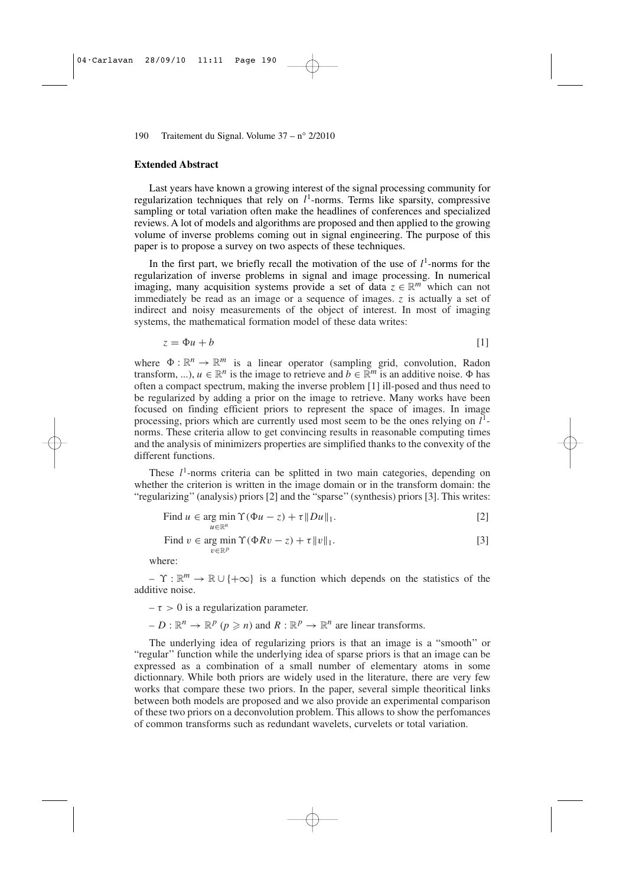#### **Extended Abstract**

Last years have known a growing interest of the signal processing community for regularization techniques that rely on  $l<sup>1</sup>$ -norms. Terms like sparsity, compressive sampling or total variation often make the headlines of conferences and specialized reviews. A lot of models and algorithms are proposed and then applied to the growing volume of inverse problems coming out in signal engineering. The purpose of this paper is to propose a survey on two aspects of these techniques.

In the first part, we briefly recall the motivation of the use of  $l<sup>1</sup>$ -norms for the regularization of inverse problems in signal and image processing. In numerical imaging, many acquisition systems provide a set of data  $z \in \mathbb{R}^m$  which can not immediately be read as an image or a sequence of images. *z* is actually a set of indirect and noisy measurements of the object of interest. In most of imaging systems, the mathematical formation model of these data writes:

$$
z = \Phi u + b \tag{1}
$$

where  $\Phi : \mathbb{R}^n \to \mathbb{R}^m$  is a linear operator (sampling grid, convolution, Radon transform, ...),  $u \in \mathbb{R}^n$  is the image to retrieve and  $b \in \mathbb{R}^m$  is an additive noise.  $\Phi$  has often a compact spectrum, making the inverse problem [1] ill-posed and thus need to be regularized by adding a prior on the image to retrieve. Many works have been focused on finding efficient priors to represent the space of images. In image processing, priors which are currently used most seem to be the ones relying on *l* 1 norms. These criteria allow to get convincing results in reasonable computing times and the analysis of minimizers properties are simplified thanks to the convexity of the different functions.

These  $l<sup>1</sup>$ -norms criteria can be splitted in two main categories, depending on whether the criterion is written in the image domain or in the transform domain: the "regularizing''(analysis) priors [2] and the "sparse''(synthesis) priors [3]. This writes:

Find 
$$
u \in \arg\min_{u \in \mathbb{R}^n} \Upsilon(\Phi u - z) + \tau \|Du\|_1
$$
. [2]

Find 
$$
v \in \arg\min_{v \in \mathbb{R}^p} \Upsilon(\Phi R v - z) + \tau ||v||_1.
$$
 [3]

where:

 $-\Upsilon : \mathbb{R}^m \to \mathbb{R} \cup \{+\infty\}$  is a function which depends on the statistics of the additive noise.

 $-\tau > 0$  is a regularization parameter.

 $-D : \mathbb{R}^n \to \mathbb{R}^p$  ( $p \ge n$ ) and  $R : \mathbb{R}^p \to \mathbb{R}^n$  are linear transforms.

The underlying idea of regularizing priors is that an image is a "smooth'' or "regular'' function while the underlying idea of sparse priors is that an image can be expressed as a combination of a small number of elementary atoms in some dictionnary. While both priors are widely used in the literature, there are very few works that compare these two priors. In the paper, several simple theoritical links between both models are proposed and we also provide an experimental comparison of these two priors on a deconvolution problem. This allows to show the perfomances of common transforms such as redundant wavelets, curvelets or total variation.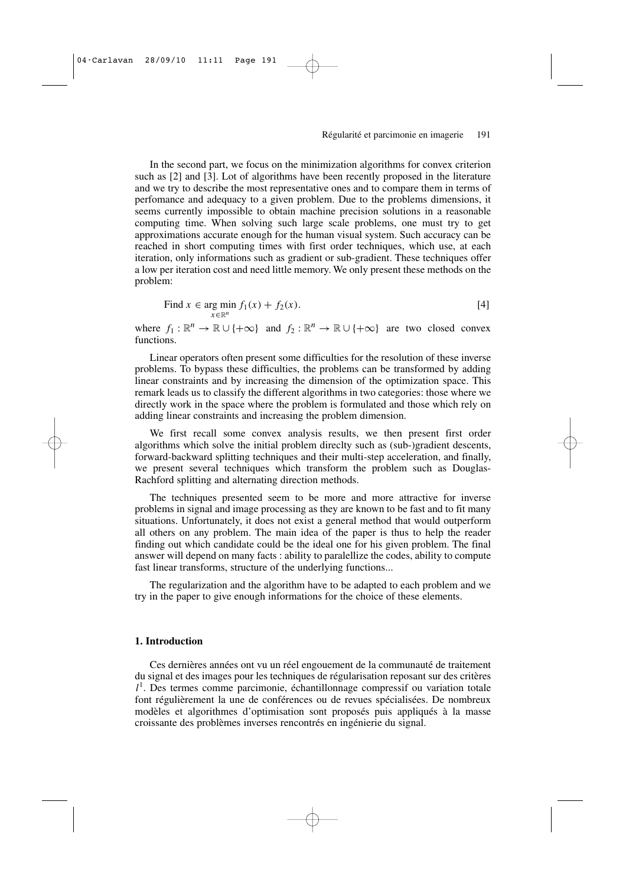In the second part, we focus on the minimization algorithms for convex criterion such as [2] and [3]. Lot of algorithms have been recently proposed in the literature and we try to describe the most representative ones and to compare them in terms of perfomance and adequacy to a given problem. Due to the problems dimensions, it seems currently impossible to obtain machine precision solutions in a reasonable computing time. When solving such large scale problems, one must try to get approximations accurate enough for the human visual system. Such accuracy can be reached in short computing times with first order techniques, which use, at each iteration, only informations such as gradient or sub-gradient. These techniques offer a low per iteration cost and need little memory. We only present these methods on the problem:

Find 
$$
x \in \arg \min_{x \in \mathbb{R}^n} f_1(x) + f_2(x)
$$
. [4]

where  $f_1 : \mathbb{R}^n \to \mathbb{R} \cup \{+\infty\}$  and  $f_2 : \mathbb{R}^n \to \mathbb{R} \cup \{+\infty\}$  are two closed convex functions.

Linear operators often present some difficulties for the resolution of these inverse problems. To bypass these difficulties, the problems can be transformed by adding linear constraints and by increasing the dimension of the optimization space. This remark leads us to classify the different algorithms in two categories: those where we directly work in the space where the problem is formulated and those which rely on adding linear constraints and increasing the problem dimension.

We first recall some convex analysis results, we then present first order algorithms which solve the initial problem direclty such as (sub-)gradient descents, forward-backward splitting techniques and their multi-step acceleration, and finally, we present several techniques which transform the problem such as Douglas-Rachford splitting and alternating direction methods.

The techniques presented seem to be more and more attractive for inverse problems in signal and image processing as they are known to be fast and to fit many situations. Unfortunately, it does not exist a general method that would outperform all others on any problem. The main idea of the paper is thus to help the reader finding out which candidate could be the ideal one for his given problem. The final answer will depend on many facts : ability to paralellize the codes, ability to compute fast linear transforms, structure of the underlying functions...

The regularization and the algorithm have to be adapted to each problem and we try in the paper to give enough informations for the choice of these elements.

#### **1. Introduction**

Ces dernières années ont vu un réel engouement de la communauté de traitement du signal et des images pour les techniques de régularisation reposant sur des critères *l* 1 . Des termes comme parcimonie, échantillonnage compressif ou variation totale font régulièrement la une de conférences ou de revues spécialisées. De nombreux modèles et algorithmes d'optimisation sont proposés puis appliqués à la masse croissante des problèmes inverses rencontrés en ingénierie du signal.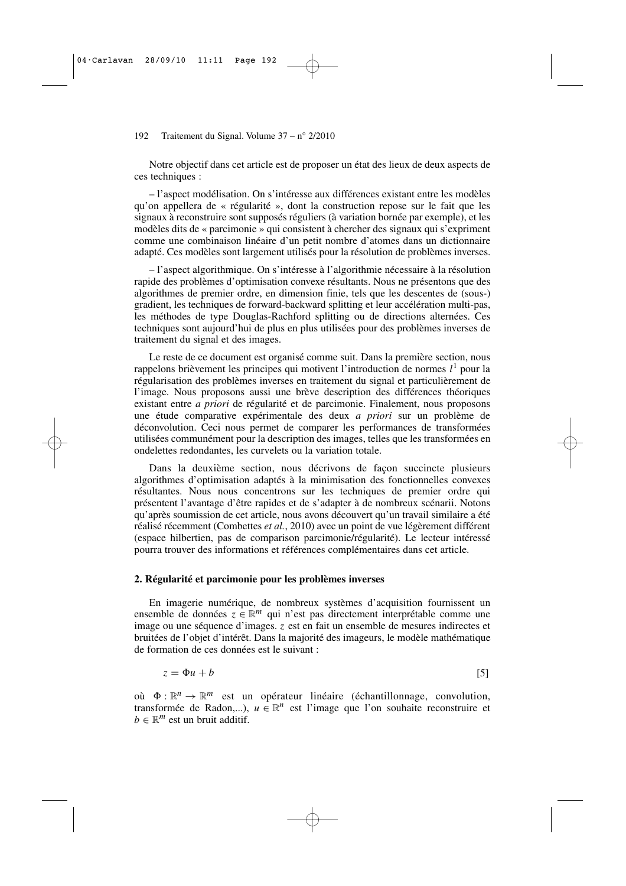Notre objectif dans cet article est de proposer un état des lieux de deux aspects de ces techniques :

– l'aspect modélisation. On s'intéresse aux différences existant entre les modèles qu'on appellera de « régularité », dont la construction repose sur le fait que les signaux à reconstruire sont supposés réguliers (à variation bornée par exemple), et les modèles dits de « parcimonie » qui consistent à chercher des signaux qui s'expriment comme une combinaison linéaire d'un petit nombre d'atomes dans un dictionnaire adapté. Ces modèles sont largement utilisés pour la résolution de problèmes inverses.

– l'aspect algorithmique. On s'intéresse à l'algorithmie nécessaire à la résolution rapide des problèmes d'optimisation convexe résultants. Nous ne présentons que des algorithmes de premier ordre, en dimension finie, tels que les descentes de (sous-) gradient, les techniques de forward-backward splitting et leur accélération multi-pas, les méthodes de type Douglas-Rachford splitting ou de directions alternées. Ces techniques sont aujourd'hui de plus en plus utilisées pour des problèmes inverses de traitement du signal et des images.

Le reste de ce document est organisé comme suit. Dans la première section, nous rappelons brièvement les principes qui motivent l'introduction de normes  $l^1$  pour la régularisation des problèmes inverses en traitement du signal et particulièrement de l'image. Nous proposons aussi une brève description des différences théoriques existant entre *a priori* de régularité et de parcimonie. Finalement, nous proposons une étude comparative expérimentale des deux *a priori* sur un problème de déconvolution. Ceci nous permet de comparer les performances de transformées utilisées communément pour la description des images, telles que les transformées en ondelettes redondantes, les curvelets ou la variation totale.

Dans la deuxième section, nous décrivons de façon succincte plusieurs algorithmes d'optimisation adaptés à la minimisation des fonctionnelles convexes résultantes. Nous nous concentrons sur les techniques de premier ordre qui présentent l'avantage d'être rapides et de s'adapter à de nombreux scénarii. Notons qu'après soumission de cet article, nous avons découvert qu'un travail similaire a été réalisé récemment (Combettes *et al.*, 2010) avec un point de vue légèrement différent (espace hilbertien, pas de comparison parcimonie/régularité). Le lecteur intéressé pourra trouver des informations et références complémentaires dans cet article.

#### **2. Régularité et parcimonie pour les problèmes inverses**

En imagerie numérique, de nombreux systèmes d'acquisition fournissent un ensemble de données  $z \in \mathbb{R}^m$  qui n'est pas directement interprétable comme une image ou une séquence d'images. *z* est en fait un ensemble de mesures indirectes et bruitées de l'objet d'intérêt. Dans la majorité des imageurs, le modèle mathématique de formation de ces données est le suivant :

$$
z = \Phi u + b \tag{5}
$$

où  $\Phi : \mathbb{R}^n \to \mathbb{R}^m$  est un opérateur linéaire (échantillonnage, convolution, transformée de Radon,...),  $u \in \mathbb{R}^n$  est l'image que l'on souhaite reconstruire et  $b \in \mathbb{R}^m$  est un bruit additif.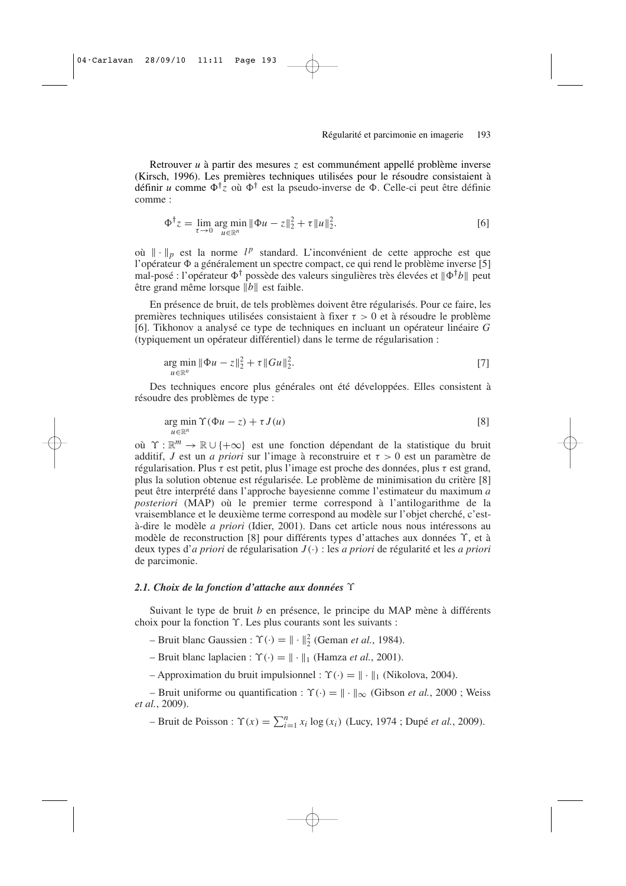Retrouver *u* à partir des mesures *z* est communément appellé problème inverse (Kirsch, 1996). Les premières techniques utilisées pour le résoudre consistaient à définir *u* comme  $\Phi^{\dagger}z$  où  $\Phi^{\dagger}$  est la pseudo-inverse de  $\Phi$ . Celle-ci peut être définie comme :

$$
\Phi^{\dagger} z = \lim_{\tau \to 0} \arg \min_{u \in \mathbb{R}^n} \|\Phi u - z\|_2^2 + \tau \|u\|_2^2.
$$
 [6]

où  $\|\cdot\|_p$  est la norme  $l^p$  standard. L'inconvénient de cette approche est que l'opérateur  $\Phi$  a généralement un spectre compact, ce qui rend le problème inverse [5] mal-posé : l'opérateur  $\Phi^{\dagger}$  possède des valeurs singulières très élevées et  $\|\Phi^{\dagger}b\|$  peut être grand même lorsque  $\|\vec{b}\|$  est faible.

En présence de bruit, de tels problèmes doivent être régularisés. Pour ce faire, les premières techniques utilisées consistaient à fixer  $\tau > 0$  et à résoudre le problème [6]. Tikhonov a analysé ce type de techniques en incluant un opérateur linéaire *G* (typiquement un opérateur différentiel) dans le terme de régularisation :

$$
\underset{u \in \mathbb{R}^n}{\arg \min} \|\Phi u - z\|_2^2 + \tau \|Gu\|_2^2. \tag{7}
$$

Des techniques encore plus générales ont été développées. Elles consistent à résoudre des problèmes de type :

$$
\underset{u \in \mathbb{R}^n}{\arg \min} \Upsilon(\Phi u - z) + \tau J(u) \tag{8}
$$

où  $\Upsilon : \mathbb{R}^m \to \mathbb{R} \cup \{+\infty\}$  est une fonction dépendant de la statistique du bruit additif, *J* est un *a priori* sur l'image à reconstruire et  $\tau > 0$  est un paramètre de régularisation. Plus τ est petit, plus l'image est proche des données, plus τ est grand, plus la solution obtenue est régularisée. Le problème de minimisation du critère [8] peut être interprété dans l'approche bayesienne comme l'estimateur du maximum *a posteriori* (MAP) où le premier terme correspond à l'antilogarithme de la vraisemblance et le deuxième terme correspond au modèle sur l'objet cherché, c'està-dire le modèle *a priori* (Idier, 2001). Dans cet article nous nous intéressons au modèle de reconstruction [8] pour différents types d'attaches aux données ϒ, et à deux types d'*a priori* de régularisation *J* (·) : les *a priori* de régularité et les *a priori* de parcimonie.

#### *2.1. Choix de la fonction d'attache aux données* ϒ

Suivant le type de bruit *b* en présence, le principe du MAP mène à différents choix pour la fonction ϒ. Les plus courants sont les suivants :

 $-$  Bruit blanc Gaussien :  $\Upsilon(\cdot) = || \cdot ||_2^2$  (Geman *et al.*, 1984).

– Bruit blanc laplacien :  $\Upsilon(\cdot) = \|\cdot\|_1$  (Hamza *et al.*, 2001).

– Approximation du bruit impulsionnel :  $\Upsilon(\cdot) = \|\cdot\|_1$  (Nikolova, 2004).

– Bruit uniforme ou quantification :  $\Upsilon(\cdot) = || \cdot ||_{\infty}$  (Gibson *et al.*, 2000 ; Weiss *et al.*, 2009).

 $-$  Bruit de Poisson :  $\Upsilon(x) = \sum_{i=1}^{n} x_i \log(x_i)$  (Lucy, 1974 ; Dupé *et al.*, 2009).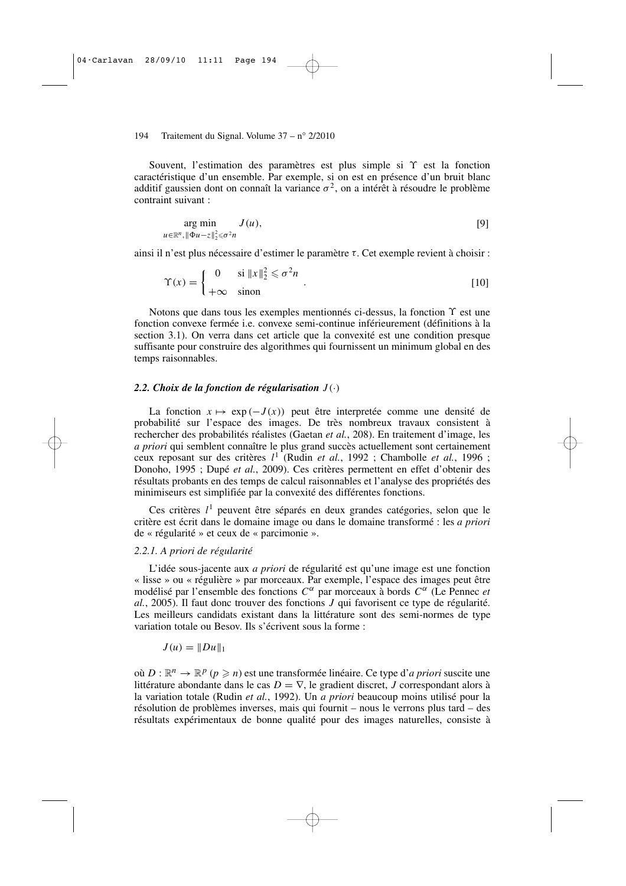Souvent, l'estimation des paramètres est plus simple si ϒ est la fonction caractéristique d'un ensemble. Par exemple, si on est en présence d'un bruit blanc additif gaussien dont on connaît la variance  $\sigma^2$ , on a intérêt à résoudre le problème contraint suivant :

$$
\arg\min_{u \in \mathbb{R}^n, \|\Phi u - z\|_2^2 \le \sigma^2 n} J(u),\tag{9}
$$

ainsi il n'est plus nécessaire d'estimer le paramètre τ. Cet exemple revient à choisir :

$$
\Upsilon(x) = \begin{cases}\n0 & \text{si } \|x\|_2^2 \le \sigma^2 n \\
+\infty & \text{sinon}\n\end{cases}.
$$
\n[10]

Notons que dans tous les exemples mentionnés ci-dessus, la fonction Υ est une fonction convexe fermée i.e. convexe semi-continue inférieurement (définitions à la section 3.1). On verra dans cet article que la convexité est une condition presque suffisante pour construire des algorithmes qui fournissent un minimum global en des temps raisonnables.

#### 2.2. Choix de la fonction de régularisation  $J(\cdot)$

La fonction  $x \mapsto \exp(-J(x))$  peut être interpretée comme une densité de probabilité sur l'espace des images. De très nombreux travaux consistent à rechercher des probabilités réalistes (Gaetan *et al.*, 208). En traitement d'image, les *a priori* qui semblent connaître le plus grand succès actuellement sont certainement ceux reposant sur des critères *l* 1 (Rudin *et al.*, 1992 ; Chambolle *et al.*, 1996 ; Donoho, 1995 ; Dupé *et al.*, 2009). Ces critères permettent en effet d'obtenir des résultats probants en des temps de calcul raisonnables et l'analyse des propriétés des minimiseurs est simplifiée par la convexité des différentes fonctions.

Ces critères *l* 1 peuvent être séparés en deux grandes catégories, selon que le critère est écrit dans le domaine image ou dans le domaine transformé : les *a priori* de « régularité » et ceux de « parcimonie ».

#### *2.2.1. A priori de régularité*

L'idée sous-jacente aux *a priori* de régularité est qu'une image est une fonction « lisse » ou « régulière » par morceaux. Par exemple, l'espace des images peut être modélisé par l'ensemble des fonctions *C*<sup>α</sup> par morceaux à bords *C*<sup>α</sup> (Le Pennec *et al.*, 2005). Il faut donc trouver des fonctions *J* qui favorisent ce type de régularité. Les meilleurs candidats existant dans la littérature sont des semi-normes de type variation totale ou Besov. Ils s'écrivent sous la forme :

$$
J(u) = ||Du||_1
$$

où  $D : \mathbb{R}^n \to \mathbb{R}^p$   $(p \ge n)$  est une transformée linéaire. Ce type d'*a priori* suscite une littérature abondante dans le cas  $D = \nabla$ , le gradient discret, *J* correspondant alors à la variation totale (Rudin *et al.*, 1992). Un *a priori* beaucoup moins utilisé pour la résolution de problèmes inverses, mais qui fournit – nous le verrons plus tard – des résultats expérimentaux de bonne qualité pour des images naturelles, consiste à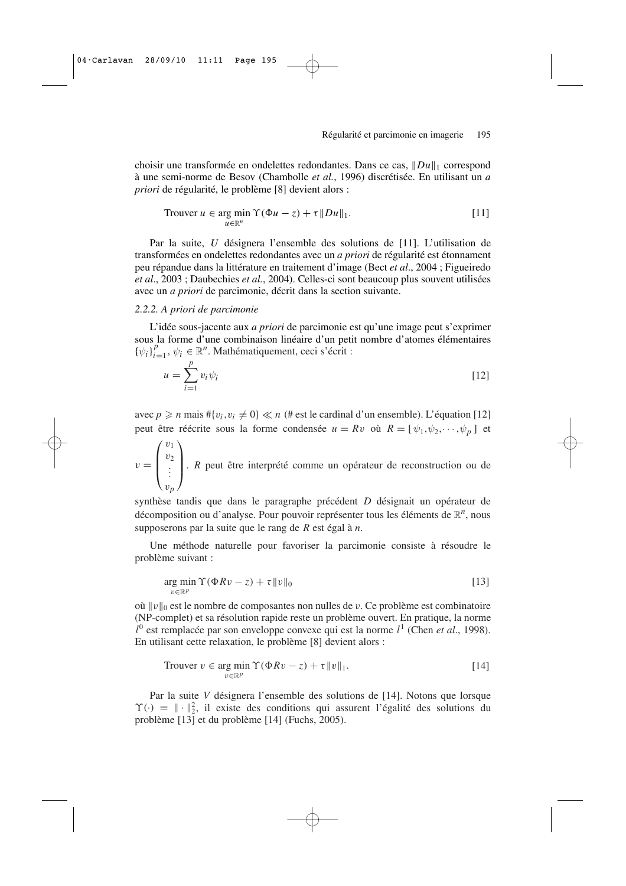choisir une transformée en ondelettes redondantes. Dans ce cas,  $||Du||_1$  correspond à une semi-norme de Besov (Chambolle *et al.*, 1996) discrétisée. En utilisant un *a priori* de régularité, le problème [8] devient alors :

Trouver 
$$
u \in \arg\min_{u \in \mathbb{R}^n} \Upsilon(\Phi u - z) + \tau \|Du\|_1.
$$

\n[11]

Par la suite, *U* désignera l'ensemble des solutions de [11]. L'utilisation de transformées en ondelettes redondantes avec un *a priori* de régularité est étonnament peu répandue dans la littérature en traitement d'image (Bect *et al*., 2004 ; Figueiredo *et al*., 2003 ; Daubechies *et al.*, 2004). Celles-ci sont beaucoup plus souvent utilisées avec un *a priori* de parcimonie, décrit dans la section suivante.

#### *2.2.2. A priori de parcimonie*

L'idée sous-jacente aux *a priori* de parcimonie est qu'une image peut s'exprimer sous la forme d'une combinaison linéaire d'un petit nombre d'atomes élémentaires  ${\{\psi_i\}}_{i}^{p}$  $\psi_i^p = 1$ ,  $\psi_i \in \mathbb{R}^n$ . Mathématiquement, ceci s'écrit :

$$
u = \sum_{i=1}^{p} v_i \psi_i
$$
 [12]

avec  $p \ge n$  mais  $\# \{v_i, v_i \neq 0\} \ll n$  (# est le cardinal d'un ensemble). L'équation [12] peut être réécrite sous la forme condensée  $u = Rv$  où  $R = [\psi_1, \psi_2, \cdots, \psi_p]$  et

 $v =$  $\sqrt{ }$  $\overline{\phantom{a}}$  $v_1$  $v_2$ . . . v*p*  $\setminus$ . *<sup>R</sup>* peut être interprété comme un opérateur de reconstruction ou de

synthèse tandis que dans le paragraphe précédent *D* désignait un opérateur de décomposition ou d'analyse. Pour pouvoir représenter tous les éléments de  $\mathbb{R}^n$ , nous supposerons par la suite que le rang de *R* est égal à *n*.

Une méthode naturelle pour favoriser la parcimonie consiste à résoudre le problème suivant :

$$
\underset{v \in \mathbb{R}^p}{\arg \min} \, \Upsilon(\Phi R v - z) + \tau \|v\|_0 \tag{13}
$$

où  $||v||_0$  est le nombre de composantes non nulles de v. Ce problème est combinatoire (NP-complet) et sa résolution rapide reste un problème ouvert. En pratique, la norme *l* 0 est remplacée par son enveloppe convexe qui est la norme *l* 1 (Chen *et al*., 1998). En utilisant cette relaxation, le problème [8] devient alors :

Trouver 
$$
v \in \arg\min_{v \in \mathbb{R}^p} \Upsilon(\Phi R v - z) + \tau \|v\|_1.
$$

\n[14]

Par la suite *V* désignera l'ensemble des solutions de [14]. Notons que lorsque  $\Upsilon(\cdot) = \|\cdot\|_2^2$ , il existe des conditions qui assurent l'égalité des solutions du problème [13] et du problème [14] (Fuchs, 2005).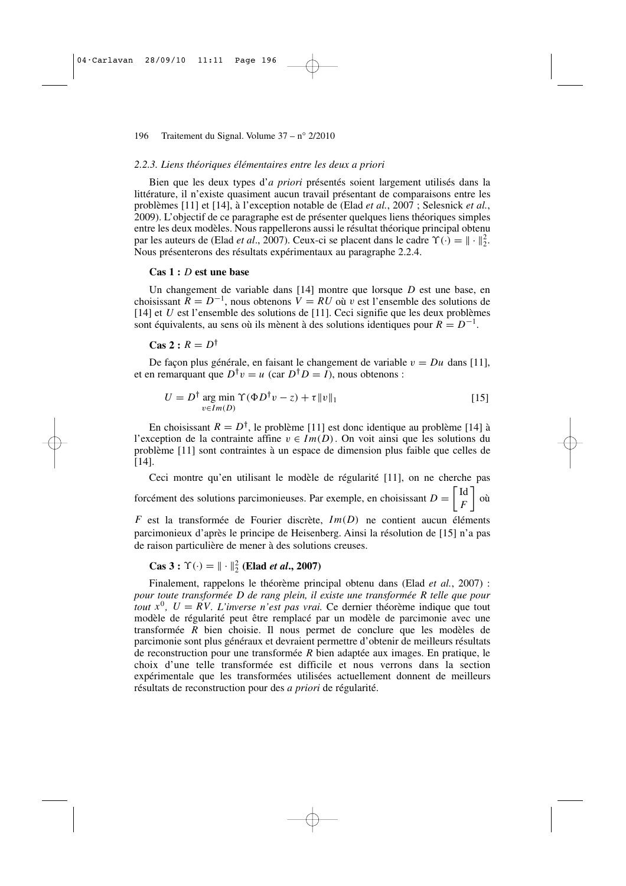#### *2.2.3. Liens théoriques élémentaires entre les deux a priori*

Bien que les deux types d'*a priori* présentés soient largement utilisés dans la littérature, il n'existe quasiment aucun travail présentant de comparaisons entre les problèmes [11] et [14], à l'exception notable de (Elad *et al.*, 2007 ; Selesnick *et al.*, 2009). L'objectif de ce paragraphe est de présenter quelques liens théoriques simples entre les deux modèles. Nous rappellerons aussi le résultat théorique principal obtenu par les auteurs de (Elad *et al.*, 2007). Ceux-ci se placent dans le cadre  $\Upsilon(\cdot) = || \cdot ||_2^2$ . Nous présenterons des résultats expérimentaux au paragraphe 2.2.4.

#### **Cas 1 :** *D* **est une base**

Un changement de variable dans [14] montre que lorsque *D* est une base, en choisissant  $\overline{R} = D^{-1}$ , nous obtenons  $V = RU$  où v est l'ensemble des solutions de [14] et *U* est l'ensemble des solutions de [11]. Ceci signifie que les deux problèmes sont équivalents, au sens où ils mènent à des solutions identiques pour  $R = D^{-1}$ .

 $\text{Cas } 2 : R = D^{\dagger}$ 

De façon plus générale, en faisant le changement de variable  $v = Du$  dans [11], et en remarquant que  $D^{\dagger}v = u$  (car  $D^{\dagger}D = I$ ), nous obtenons :

$$
U = D^{\dagger} \underset{v \in Im(D)}{\text{arg min}} \Upsilon(\Phi D^{\dagger} v - z) + \tau \|v\|_1
$$
 [15]

En choisissant  $R = D^{\dagger}$ , le problème [11] est donc identique au problème [14] à l'exception de la contrainte affine  $v \in Im(D)$ . On voit ainsi que les solutions du problème [11] sont contraintes à un espace de dimension plus faible que celles de [14].

Ceci montre qu'en utilisant le modèle de régularité [11], on ne cherche pas forcément des solutions parcimonieuses. Par exemple, en choisissant  $D = \begin{bmatrix} Id \\ F \end{bmatrix}$ *F*  $\big]$  où  $F$  est la transformée de Fourier discrète,  $Im(D)$  ne contient aucun éléments parcimonieux d'après le principe de Heisenberg. Ainsi la résolution de [15] n'a pas de raison particulière de mener à des solutions creuses.

$$
\text{Cas } 3: \Upsilon(\cdot) = \|\cdot\|_2^2 \text{ (Elad } et \text{ al., } 2007)
$$

Finalement, rappelons le théorème principal obtenu dans (Elad *et al.*, 2007) : *pour toute transformée D de rang plein, il existe une transformée R telle que pour tout*  $x^0$ ,  $U = RV$ . *L'inverse n'est pas vrai*. Ce dernier théorème indique que tout modèle de régularité peut être remplacé par un modèle de parcimonie avec une transformée *R* bien choisie. Il nous permet de conclure que les modèles de parcimonie sont plus généraux et devraient permettre d'obtenir de meilleurs résultats de reconstruction pour une transformée *R* bien adaptée aux images. En pratique, le choix d'une telle transformée est difficile et nous verrons dans la section expérimentale que les transformées utilisées actuellement donnent de meilleurs résultats de reconstruction pour des *a priori* de régularité.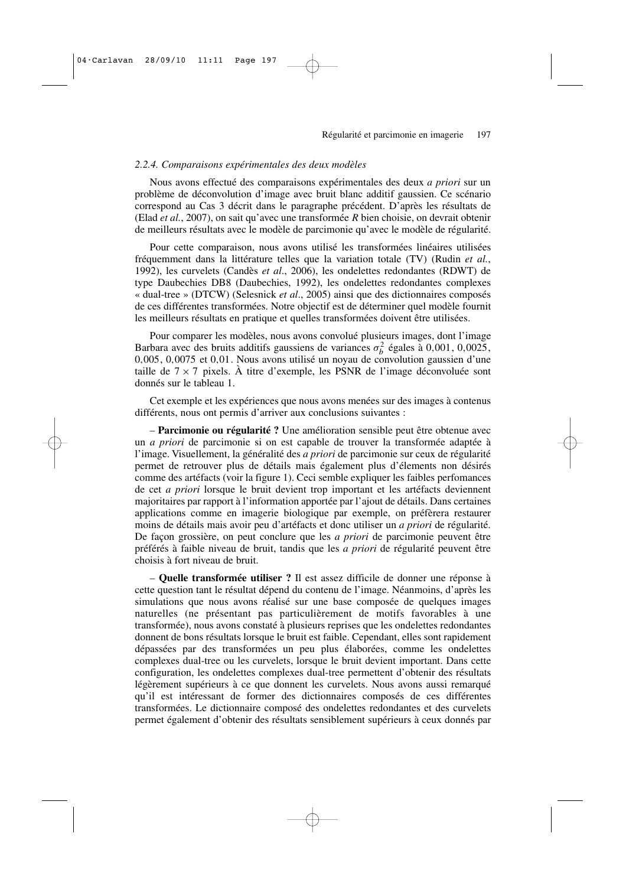#### *2.2.4. Comparaisons expérimentales des deux modèles*

Nous avons effectué des comparaisons expérimentales des deux *a priori* sur un problème de déconvolution d'image avec bruit blanc additif gaussien. Ce scénario correspond au Cas 3 décrit dans le paragraphe précédent. D'après les résultats de (Elad *et al.*, 2007), on sait qu'avec une transformée *R* bien choisie, on devrait obtenir de meilleurs résultats avec le modèle de parcimonie qu'avec le modèle de régularité.

Pour cette comparaison, nous avons utilisé les transformées linéaires utilisées fréquemment dans la littérature telles que la variation totale (TV) (Rudin *et al.*, 1992), les curvelets (Candès *et al*., 2006), les ondelettes redondantes (RDWT) de type Daubechies DB8 (Daubechies, 1992), les ondelettes redondantes complexes « dual-tree » (DTCW) (Selesnick *et al*., 2005) ainsi que des dictionnaires composés de ces différentes transformées. Notre objectif est de déterminer quel modèle fournit les meilleurs résultats en pratique et quelles transformées doivent être utilisées.

Pour comparer les modèles, nous avons convolué plusieurs images, dont l'image Barbara avec des bruits additifs gaussiens de variances  $\sigma_b^2$  égales à 0,001, 0,0025, 0,005, 0,0075 et 0,01. Nous avons utilisé un noyau de convolution gaussien d'une taille de  $7 \times 7$  pixels. À titre d'exemple, les PSNR de l'image déconvoluée sont donnés sur le tableau 1.

Cet exemple et les expériences que nous avons menées sur des images à contenus différents, nous ont permis d'arriver aux conclusions suivantes :

– **Parcimonie ou régularité ?** Une amélioration sensible peut être obtenue avec un *a priori* de parcimonie si on est capable de trouver la transformée adaptée à l'image. Visuellement, la généralité des *a priori* de parcimonie sur ceux de régularité permet de retrouver plus de détails mais également plus d'élements non désirés comme des artéfacts (voir la figure 1). Ceci semble expliquer les faibles perfomances de cet *a priori* lorsque le bruit devient trop important et les artéfacts deviennent majoritaires par rapport à l'information apportée par l'ajout de détails. Dans certaines applications comme en imagerie biologique par exemple, on préfèrera restaurer moins de détails mais avoir peu d'artéfacts et donc utiliser un *a priori* de régularité. De façon grossière, on peut conclure que les *a priori* de parcimonie peuvent être préférés à faible niveau de bruit, tandis que les *a priori* de régularité peuvent être choisis à fort niveau de bruit.

– **Quelle transformée utiliser ?** Il est assez difficile de donner une réponse à cette question tant le résultat dépend du contenu de l'image. Néanmoins, d'après les simulations que nous avons réalisé sur une base composée de quelques images naturelles (ne présentant pas particulièrement de motifs favorables à une transformée), nous avons constaté à plusieurs reprises que les ondelettes redondantes donnent de bons résultats lorsque le bruit est faible. Cependant, elles sont rapidement dépassées par des transformées un peu plus élaborées, comme les ondelettes complexes dual-tree ou les curvelets, lorsque le bruit devient important. Dans cette configuration, les ondelettes complexes dual-tree permettent d'obtenir des résultats légèrement supérieurs à ce que donnent les curvelets. Nous avons aussi remarqué qu'il est intéressant de former des dictionnaires composés de ces différentes transformées. Le dictionnaire composé des ondelettes redondantes et des curvelets permet également d'obtenir des résultats sensiblement supérieurs à ceux donnés par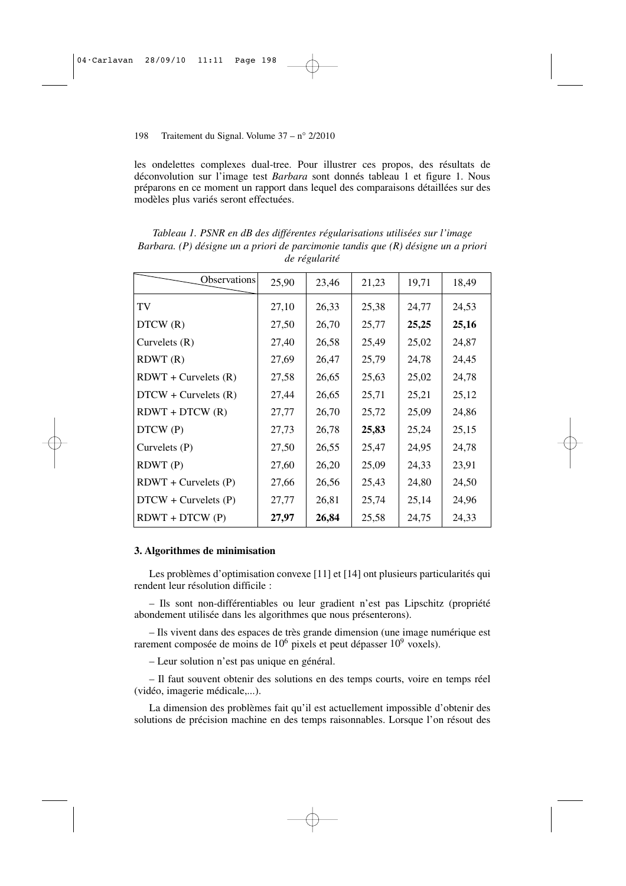les ondelettes complexes dual-tree. Pour illustrer ces propos, des résultats de déconvolution sur l'image test *Barbara* sont donnés tableau 1 et figure 1. Nous préparons en ce moment un rapport dans lequel des comparaisons détaillées sur des modèles plus variés seront effectuées.

| Observations           | 25,90 | 23,46 | 21,23 | 19,71 | 18,49 |
|------------------------|-------|-------|-------|-------|-------|
| TV                     | 27,10 | 26,33 | 25,38 | 24,77 | 24,53 |
| DTCW(R)                | 27,50 | 26,70 | 25,77 | 25,25 | 25,16 |
| Curvelets $(R)$        | 27,40 | 26,58 | 25,49 | 25,02 | 24,87 |
| RDWT(R)                | 27,69 | 26,47 | 25,79 | 24,78 | 24,45 |
| $RDWT + Curvelets (R)$ | 27,58 | 26,65 | 25,63 | 25,02 | 24,78 |
| $DTCW + Curvelets (R)$ | 27,44 | 26,65 | 25,71 | 25,21 | 25,12 |
| $RDWT + DTCW (R)$      | 27,77 | 26,70 | 25,72 | 25,09 | 24,86 |
| DTCW (P)               | 27,73 | 26,78 | 25,83 | 25,24 | 25,15 |
| Curvelets $(P)$        | 27,50 | 26,55 | 25,47 | 24,95 | 24,78 |
| RDWT(P)                | 27,60 | 26,20 | 25,09 | 24,33 | 23,91 |
| $RDWT + Curvelets (P)$ | 27,66 | 26,56 | 25,43 | 24,80 | 24,50 |
| $DTCW + Curvelets (P)$ | 27,77 | 26,81 | 25,74 | 25,14 | 24,96 |
| $RDWT + DTCW(P)$       | 27,97 | 26,84 | 25,58 | 24,75 | 24,33 |

*Tableau 1. PSNR en dB des différentes régularisations utilisées sur l'image Barbara. (P) désigne un a priori de parcimonie tandis que (R) désigne un a priori de régularité*

#### **3. Algorithmes de minimisation**

Les problèmes d'optimisation convexe [11] et [14] ont plusieurs particularités qui rendent leur résolution difficile :

– Ils sont non-différentiables ou leur gradient n'est pas Lipschitz (propriété abondement utilisée dans les algorithmes que nous présenterons).

– Ils vivent dans des espaces de très grande dimension (une image numérique est rarement composée de moins de  $10^6$  pixels et peut dépasser  $10^9$  voxels).

– Leur solution n'est pas unique en général.

– Il faut souvent obtenir des solutions en des temps courts, voire en temps réel (vidéo, imagerie médicale,...).

La dimension des problèmes fait qu'il est actuellement impossible d'obtenir des solutions de précision machine en des temps raisonnables. Lorsque l'on résout des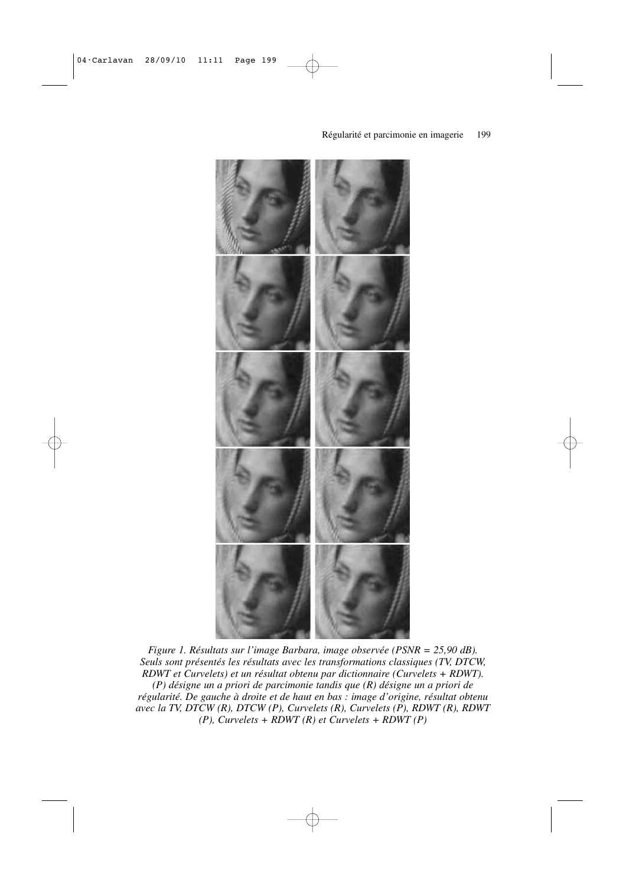

*Figure 1. Résultats sur l'image Barbara, image observée (PSNR = 25,90 dB). Seuls sont présentés les résultats avec les transformations classiques (TV, DTCW, RDWT et Curvelets) et un résultat obtenu par dictionnaire (Curvelets + RDWT). (P) désigne un a priori de parcimonie tandis que (R) désigne un a priori de régularité. De gauche à droite et de haut en bas : image d'origine, résultat obtenu avec la TV, DTCW (R), DTCW (P), Curvelets (R), Curvelets (P), RDWT (R), RDWT (P), Curvelets + RDWT (R) et Curvelets + RDWT (P)*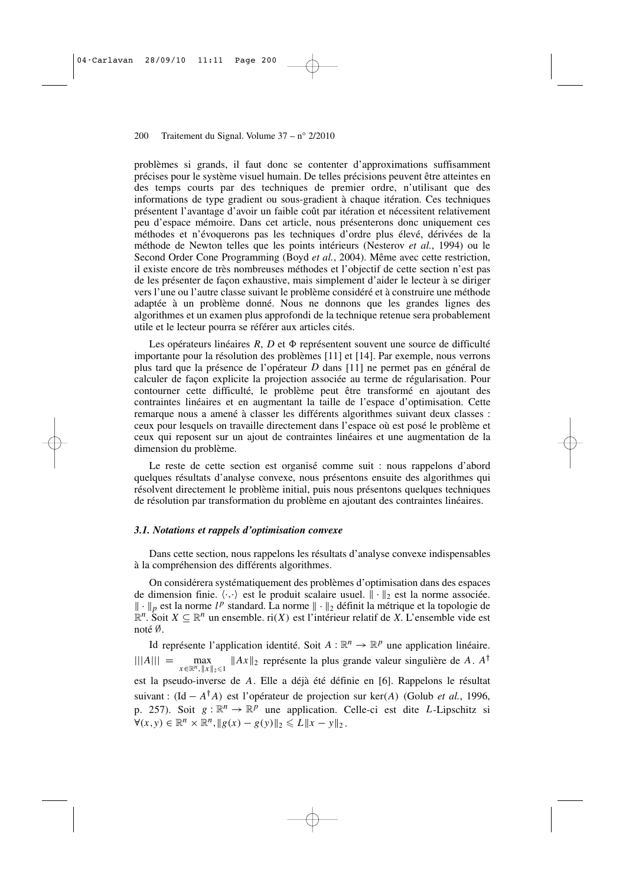problèmes si grands, il faut donc se contenter d'approximations suffisamment précises pour le système visuel humain. De telles précisions peuvent être atteintes en des temps courts par des techniques de premier ordre, n'utilisant que des informations de type gradient ou sous-gradient à chaque itération. Ces techniques présentent l'avantage d'avoir un faible coût par itération et nécessitent relativement peu d'espace mémoire. Dans cet article, nous présenterons donc uniquement ces méthodes et n'évoquerons pas les techniques d'ordre plus élevé, dérivées de la méthode de Newton telles que les points intérieurs (Nesterov *et al.*, 1994) ou le Second Order Cone Programming (Boyd *et al.*, 2004). Même avec cette restriction, il existe encore de très nombreuses méthodes et l'objectif de cette section n'est pas de les présenter de façon exhaustive, mais simplement d'aider le lecteur à se diriger vers l'une ou l'autre classe suivant le problème considéré et à construire une méthode adaptée à un problème donné. Nous ne donnons que les grandes lignes des algorithmes et un examen plus approfondi de la technique retenue sera probablement utile et le lecteur pourra se référer aux articles cités.

Les opérateurs linéaires R, D et  $\Phi$  représentent souvent une source de difficulté importante pour la résolution des problèmes [11] et [14]. Par exemple, nous verrons plus tard que la présence de l'opérateur *D* dans [11] ne permet pas en général de calculer de façon explicite la projection associée au terme de régularisation. Pour contourner cette difficulté, le problème peut être transformé en ajoutant des contraintes linéaires et en augmentant la taille de l'espace d'optimisation. Cette remarque nous a amené à classer les différents algorithmes suivant deux classes : ceux pour lesquels on travaille directement dans l'espace où est posé le problème et ceux qui reposent sur un ajout de contraintes linéaires et une augmentation de la dimension du problème.

Le reste de cette section est organisé comme suit : nous rappelons d'abord quelques résultats d'analyse convexe, nous présentons ensuite des algorithmes qui résolvent directement le problème initial, puis nous présentons quelques techniques de résolution par transformation du problème en ajoutant des contraintes linéaires.

#### *3.1. Notations et rappels d'optimisation convexe*

Dans cette section, nous rappelons les résultats d'analyse convexe indispensables à la compréhension des différents algorithmes.

On considérera systématiquement des problèmes d'optimisation dans des espaces de dimension finie.  $\langle \cdot, \cdot \rangle$  est le produit scalaire usuel.  $\|\cdot\|_2$  est la norme associée.  $\|\cdot\|_p$  est la norme  $l^p$  standard. La norme  $\|\cdot\|_2$  définit la métrique et la topologie de  $\mathbb{R}^n$ . Soit *X* ⊆  $\mathbb{R}^n$  un ensemble. ri(*X*) est l'intérieur relatif de *X*. L'ensemble vide est noté ∅.

Id représente l'application identité. Soit  $A : \mathbb{R}^n \to \mathbb{R}^p$  une application linéaire. |||*A*||| =  $\max_{x \in \mathbb{R}^n, \|x\|_2 \le 1} \|Ax\|_2$  représente la plus grande valeur singulière de *A*. *A*<sup>†</sup> est la pseudo-inverse de *A*. Elle a déjà été définie en [6]. Rappelons le résultat suivant : (Id − *A* †*A*) est l'opérateur de projection sur ker(*A*) (Golub *et al.*, 1996, p. 257). Soit  $g: \mathbb{R}^n \to \mathbb{R}^p$  une application. Celle-ci est dite *L*-Lipschitz si  $\forall (x, y) \in \mathbb{R}^n \times \mathbb{R}^n, \|g(x) - g(y)\|_2 \le L \|x - y\|_2.$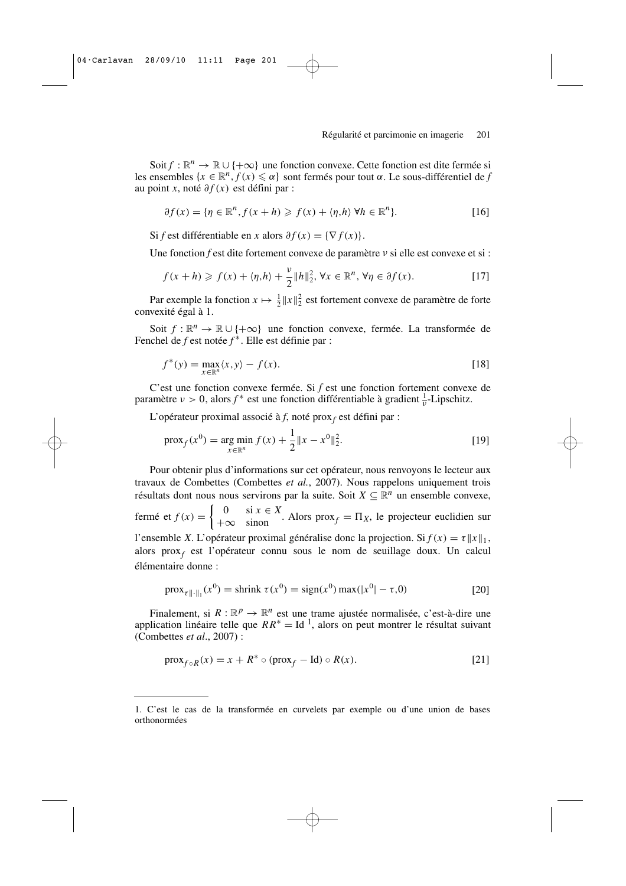Soit *f* :  $\mathbb{R}^n$  →  $\mathbb{R} \cup \{+\infty\}$  une fonction convexe. Cette fonction est dite fermée si les ensembles  $\{x \in \mathbb{R}^n, f(x) \leq \alpha\}$  sont fermés pour tout  $\alpha$ . Le sous-différentiel de *f* au point *x*, noté ∂ *f* (*x*) est défini par :

$$
\partial f(x) = \{ \eta \in \mathbb{R}^n, f(x+h) \geqslant f(x) + \langle \eta, h \rangle \, \forall h \in \mathbb{R}^n \}.
$$
 [16]

Si *f* est différentiable en *x* alors  $\partial f(x) = \{ \nabla f(x) \}.$ 

Une fonction *f* est dite fortement convexe de paramètre ν si elle est convexe et si :

$$
f(x+h) \geq f(x) + \langle \eta, h \rangle + \frac{\nu}{2} \|h\|_2^2, \forall x \in \mathbb{R}^n, \forall \eta \in \partial f(x).
$$
 [17]

Par exemple la fonction  $x \mapsto \frac{1}{2} ||x||_2^2$  est fortement convexe de paramètre de forte convexité égal à 1.

Soit *f* :  $\mathbb{R}^n$  →  $\mathbb{R} \cup \{+\infty\}$  une fonction convexe, fermée. La transformée de Fenchel de *f* est notée *f* ∗ . Elle est définie par :

$$
f^*(y) = \max_{x \in \mathbb{R}^n} \langle x, y \rangle - f(x). \tag{18}
$$

C'est une fonction convexe fermée. Si *f* est une fonction fortement convexe de paramètre  $\nu > 0$ , alors  $f^*$  est une fonction différentiable à gradient  $\frac{1}{\nu}$ -Lipschitz.

L'opérateur proximal associé à *f*, noté prox*<sup>f</sup>* est défini par :

$$
\text{prox}_{f}(x^{0}) = \underset{x \in \mathbb{R}^{n}}{\text{arg min}} f(x) + \frac{1}{2} \|x - x^{0}\|_{2}^{2}.
$$
 [19]

Pour obtenir plus d'informations sur cet opérateur, nous renvoyons le lecteur aux travaux de Combettes (Combettes *et al.*, 2007). Nous rappelons uniquement trois résultats dont nous nous servirons par la suite. Soit  $X \subseteq \mathbb{R}^n$  un ensemble convexe, fermé et  $f(x) = \begin{cases} 0 & \text{si } x \in X \\ +\infty & \text{sinon} \end{cases}$ . Alors prox<sub>f</sub> =  $\Pi_X$ , le projecteur euclidien sur l'ensemble *X*. L'opérateur proximal généralise donc la projection. Si  $f(x) = \tau ||x||_1$ , alors prox*<sup>f</sup>* est l'opérateur connu sous le nom de seuillage doux. Un calcul élémentaire donne :

$$
\text{prox}_{\tau \| \cdot \|_1}(x^0) = \text{shrink } \tau(x^0) = \text{sign}(x^0) \max(|x^0| - \tau, 0)
$$
 [20]

Finalement, si  $R : \mathbb{R}^p \to \mathbb{R}^n$  est une trame ajustée normalisée, c'est-à-dire une application linéaire telle que  $RR^* = Id^1$ , alors on peut montrer le résultat suivant (Combettes *et al*., 2007) :

$$
\text{prox}_{f \circ R}(x) = x + R^* \circ (\text{prox}_f - \text{Id}) \circ R(x). \tag{21}
$$

<sup>1.</sup> C'est le cas de la transformée en curvelets par exemple ou d'une union de bases orthonormées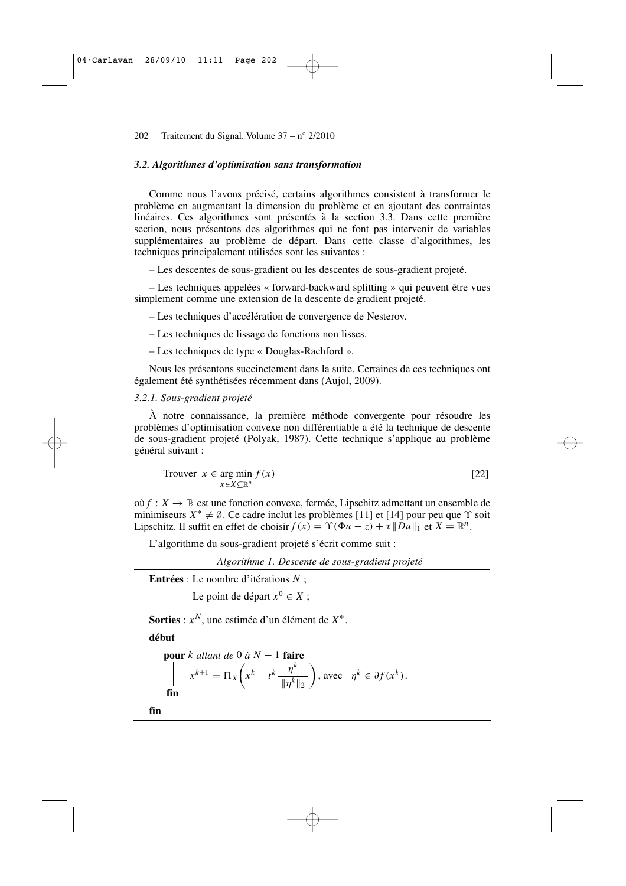#### *3.2. Algorithmes d'optimisation sans transformation*

Comme nous l'avons précisé, certains algorithmes consistent à transformer le problème en augmentant la dimension du problème et en ajoutant des contraintes linéaires. Ces algorithmes sont présentés à la section 3.3. Dans cette première section, nous présentons des algorithmes qui ne font pas intervenir de variables supplémentaires au problème de départ. Dans cette classe d'algorithmes, les techniques principalement utilisées sont les suivantes :

– Les descentes de sous-gradient ou les descentes de sous-gradient projeté.

– Les techniques appelées « forward-backward splitting » qui peuvent être vues simplement comme une extension de la descente de gradient projeté.

– Les techniques d'accélération de convergence de Nesterov.

– Les techniques de lissage de fonctions non lisses.

– Les techniques de type « Douglas-Rachford ».

Nous les présentons succinctement dans la suite. Certaines de ces techniques ont également été synthétisées récemment dans (Aujol, 2009).

#### *3.2.1. Sous-gradient projeté*

À notre connaissance, la première méthode convergente pour résoudre les problèmes d'optimisation convexe non différentiable a été la technique de descente de sous-gradient projeté (Polyak, 1987). Cette technique s'applique au problème général suivant :

Trouver 
$$
x \in \arg\min_{x \in X \subseteq \mathbb{R}^n} f(x)
$$

\n[22]

où  $f: X \to \mathbb{R}$  est une fonction convexe, fermée, Lipschitz admettant un ensemble de minimiseurs  $X^* \neq \emptyset$ . Ce cadre inclut les problèmes [11] et [14] pour peu que  $\Upsilon$  soit Lipschitz. Il suffit en effet de choisir  $f(x) = \Upsilon(\Phi u - z) + \tau ||Du||_1$  et  $X = \mathbb{R}^n$ .

L'algorithme du sous-gradient projeté s'écrit comme suit :

*Algorithme 1. Descente de sous-gradient projeté*

**Entrées** : Le nombre d'itérations *N* ;

Le point de départ  $x^0 \in X$ ;

**Sorties** : *x <sup>N</sup>*, une estimée d'un élément de *X* ∗ .

#### **début**

**pour** k allant de 0 à N - 1 **faire**  
\n
$$
\begin{aligned}\nx^{k+1} &= \Pi_X \left( x^k - t^k \frac{\eta^k}{\|\eta^k\|_2} \right), \text{ avec } \eta^k \in \partial f(x^k). \\
\mathbf{fin} \\
\mathbf{fin}\n\end{aligned}
$$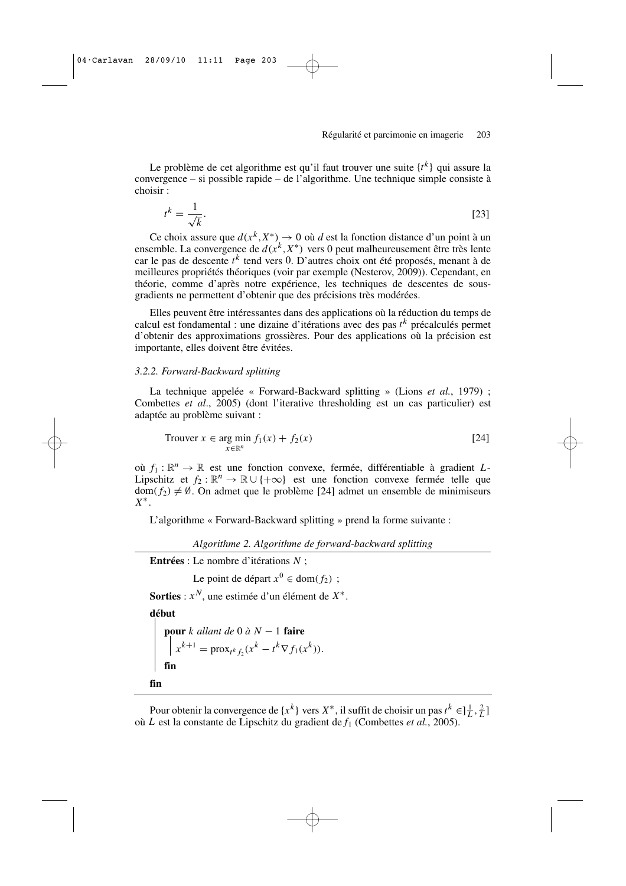Le problème de cet algorithme est qu'il faut trouver une suite  $\{t^k\}$  qui assure la convergence – si possible rapide – de l'algorithme. Une technique simple consiste à choisir :

$$
t^k = \frac{1}{\sqrt{k}}.\tag{23}
$$

Ce choix assure que  $d(x^k, X^*) \to 0$  où d est la fonction distance d'un point à un ensemble. La convergence de  $d(x^k, X^*)$  vers 0 peut malheureusement être très lente car le pas de descente *t k* tend vers 0. D'autres choix ont été proposés, menant à de meilleures propriétés théoriques (voir par exemple (Nesterov, 2009)). Cependant, en théorie, comme d'après notre expérience, les techniques de descentes de sousgradients ne permettent d'obtenir que des précisions très modérées.

Elles peuvent être intéressantes dans des applications où la réduction du temps de calcul est fondamental : une dizaine d'itérations avec des pas *t k* précalculés permet d'obtenir des approximations grossières. Pour des applications où la précision est importante, elles doivent être évitées.

#### *3.2.2. Forward-Backward splitting*

La technique appelée « Forward-Backward splitting » (Lions *et al.*, 1979) ; Combettes *et al*., 2005) (dont l'iterative thresholding est un cas particulier) est adaptée au problème suivant :

$$
\text{Trouver } x \in \underset{x \in \mathbb{R}^n}{\text{arg min }} f_1(x) + f_2(x) \tag{24}
$$

où  $f_1: \mathbb{R}^n \to \mathbb{R}$  est une fonction convexe, fermée, différentiable à gradient *L*-Lipschitz et  $f_2 : \mathbb{R}^n \to \mathbb{R} \cup \{+\infty\}$  est une fonction convexe fermée telle que  $dom(f_2) \neq \emptyset$ . On admet que le problème [24] admet un ensemble de minimiseurs *X* ∗ .

L'algorithme « Forward-Backward splitting » prend la forme suivante :

*Algorithme 2. Algorithme de forward-backward splitting*

**Entrées** : Le nombre d'itérations *N* ;

Le point de départ  $x^0 \in \text{dom}(f_2)$ ;

**Sorties** : *x <sup>N</sup>*, une estimée d'un élément de *X* ∗ .

**début**

**pour** *k allant de* 0 *à N* − 1 **faire**  $x^{k+1} = \text{prox}_{t^k f_2}(x^k - t^k \nabla f_1(x^k)).$ **fin**

**fin**

Pour obtenir la convergence de  $\{x^k\}$  vers  $X^*$ , il suffit de choisir un pas  $t^k \in ]\frac{1}{L}, \frac{2}{L}]$ où *L* est la constante de Lipschitz du gradient de *f*<sup>1</sup> (Combettes *et al.*, 2005).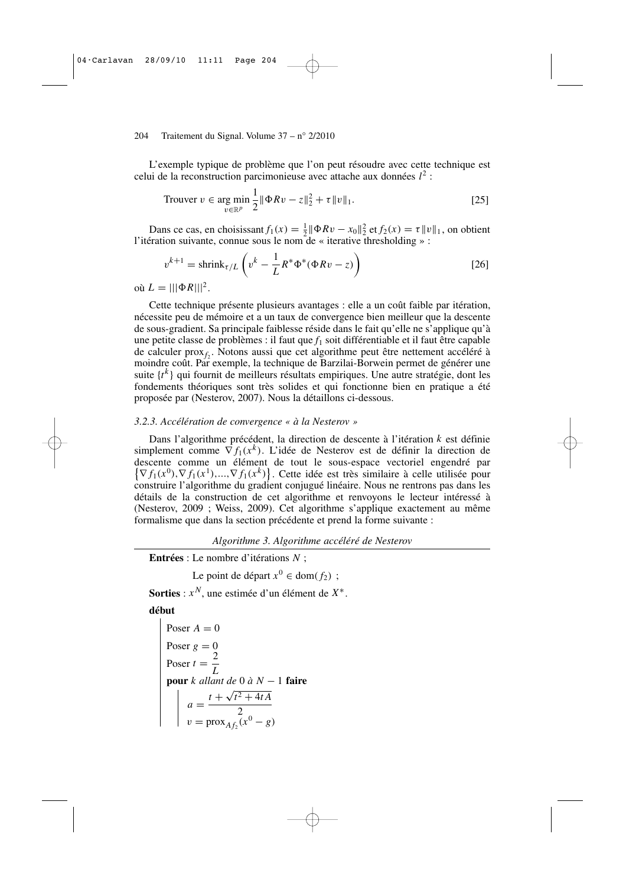L'exemple typique de problème que l'on peut résoudre avec cette technique est celui de la reconstruction parcimonieuse avec attache aux données *l* 2 :

Trouver 
$$
v \in \arg\min_{v \in \mathbb{R}^p} \frac{1}{2} \|\Phi R v - z\|_2^2 + \tau \|v\|_1.
$$

\n[25]

Dans ce cas, en choisissant  $f_1(x) = \frac{1}{2} ||\Phi Rv - x_0||_2^2$  et  $f_2(x) = \tau ||v||_1$ , on obtient Dans ce eas, en enorsissant  $f(x) = 2\pi$  and  $x_0 \pi_2$  et  $f(x) = e\pi e$ <br>l'itération suivante, connue sous le nom de « iterative thresholding » :

$$
v^{k+1} = \text{shrink}_{\tau/L} \left( v^k - \frac{1}{L} R^* \Phi^* (\Phi R v - z) \right)
$$
 [26]

 $\sum_{i=1}^{\infty} L = |||\Phi R|||^2.$ 

Cette technique présente plusieurs avantages : elle a un coût faible par itération, nécessite peu de mémoire et a un taux de convergence bien meilleur que la descente de sous-gradient. Sa principale faiblesse réside dans le fait qu'elle ne s'applique qu'à une petite classe de problèmes : il faut que *f*<sup>1</sup> soit différentiable et il faut être capable de calculer prox<sub>f<sub>2</sub></sub>. Notons aussi que cet algorithme peut être nettement accéléré à moindre coût. Par exemple, la technique de Barzilai-Borwein permet de générer une suite  $\{t^k\}$  qui fournit de meilleurs résultats empiriques. Une autre stratégie, dont les fondements théoriques sont très solides et qui fonctionne bien en pratique a été proposée par (Nesterov, 2007). Nous la détaillons ci-dessous.

#### *3.2.3. Accélération de convergence « à la Nesterov »*

Dans l'algorithme précédent, la direction de descente à l'itération *k* est définie simplement comme  $\nabla f_1(x^k)$ . L'idée de Nesterov est de définir la direction de descente comme un élément de tout le sous-espace vectoriel engendré par  $\{\nabla f_1(x^0), \nabla f_1(x^1), ..., \nabla f_1(x^k)\}\)$ . Cette idée est très similaire à celle utilisée pour construire l'algorithme du gradient conjugué linéaire. Nous ne rentrons pas dans les détails de la construction de cet algorithme et renvoyons le lecteur intéressé à (Nesterov, 2009 ; Weiss, 2009). Cet algorithme s'applique exactement au même formalisme que dans la section précédente et prend la forme suivante :

#### *Algorithme 3. Algorithme accéléré de Nesterov*

**Entrées** : Le nombre d'itérations *N* ;

Le point de départ  $x^0 \in \text{dom}(f_2)$ ;

**Sorties** : *x <sup>N</sup>*, une estimée d'un élément de *X* ∗ .

#### **début**

Poser 
$$
A = 0
$$

\nPoser  $g = 0$ 

\nPoser  $t = \frac{2}{L}$ 

\npour  $k$  allant de 0 à  $N - 1$  faire

\n
$$
a = \frac{t + \sqrt{t^2 + 4tA}}{2}
$$

\n $v = \text{prox}_{Af_2}(x^0 - g)$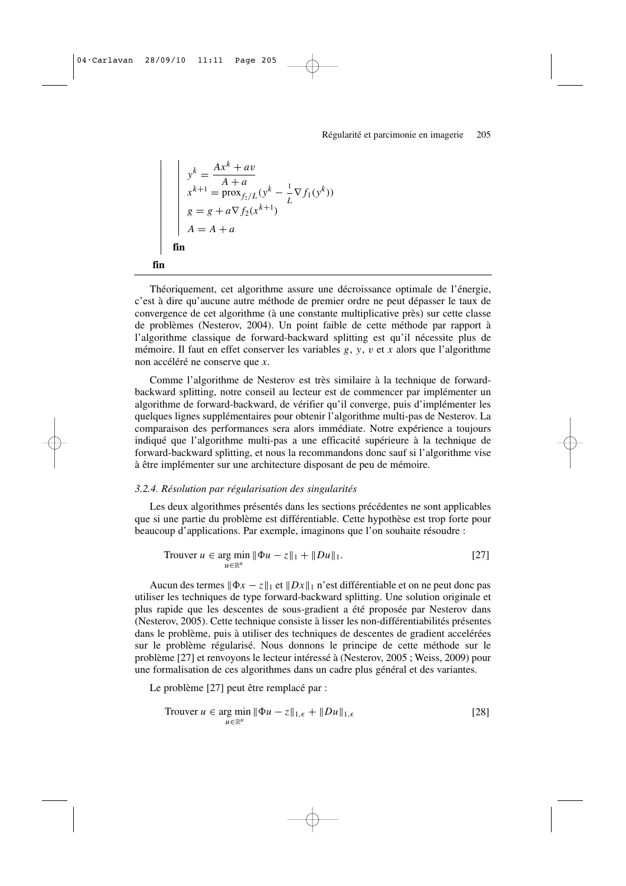$$
y^{k} = \frac{Ax^{k} + av}{A + a}
$$
  
\n
$$
x^{k+1} = \text{prox}_{f_2/L}(y^{k} - \frac{1}{L}\nabla f_1(y^{k}))
$$
  
\n
$$
g = g + a\nabla f_2(x^{k+1})
$$
  
\n
$$
A = A + a
$$
  
\n**fin**  
\n**fin**

Théoriquement, cet algorithme assure une décroissance optimale de l'énergie, c'est à dire qu'aucune autre méthode de premier ordre ne peut dépasser le taux de convergence de cet algorithme (à une constante multiplicative près) sur cette classe de problèmes (Nesterov, 2004). Un point faible de cette méthode par rapport à l'algorithme classique de forward-backward splitting est qu'il nécessite plus de mémoire. Il faut en effet conserver les variables *g*, *y*, v et *x* alors que l'algorithme non accéléré ne conserve que *x*.

Comme l'algorithme de Nesterov est très similaire à la technique de forwardbackward splitting, notre conseil au lecteur est de commencer par implémenter un algorithme de forward-backward, de vérifier qu'il converge, puis d'implémenter les quelques lignes supplémentaires pour obtenir l'algorithme multi-pas de Nesterov. La comparaison des performances sera alors immédiate. Notre expérience a toujours indiqué que l'algorithme multi-pas a une efficacité supérieure à la technique de forward-backward splitting, et nous la recommandons donc sauf si l'algorithme vise à être implémenter sur une architecture disposant de peu de mémoire.

#### *3.2.4. Résolution par régularisation des singularités*

Les deux algorithmes présentés dans les sections précédentes ne sont applicables que si une partie du problème est différentiable. Cette hypothèse est trop forte pour beaucoup d'applications. Par exemple, imaginons que l'on souhaite résoudre :

Trouver 
$$
u \in \arg \min_{u \in \mathbb{R}^n} \|\Phi u - z\|_1 + \|Du\|_1.
$$
 [27]

Aucun des termes  $\|\Phi x - z\|_1$  et  $\|Dx\|_1$  n'est différentiable et on ne peut donc pas utiliser les techniques de type forward-backward splitting. Une solution originale et plus rapide que les descentes de sous-gradient a été proposée par Nesterov dans (Nesterov, 2005). Cette technique consiste à lisser les non-différentiabilités présentes dans le problème, puis à utiliser des techniques de descentes de gradient accelérées sur le problème régularisé. Nous donnons le principe de cette méthode sur le problème [27] et renvoyons le lecteur intéressé à (Nesterov, 2005 ; Weiss, 2009) pour une formalisation de ces algorithmes dans un cadre plus général et des variantes.

Le problème [27] peut être remplacé par :

$$
\text{Trouver } u \in \underset{u \in \mathbb{R}^n}{\text{arg min }} \|\Phi u - z\|_{1,\epsilon} + \|Du\|_{1,\epsilon} \tag{28}
$$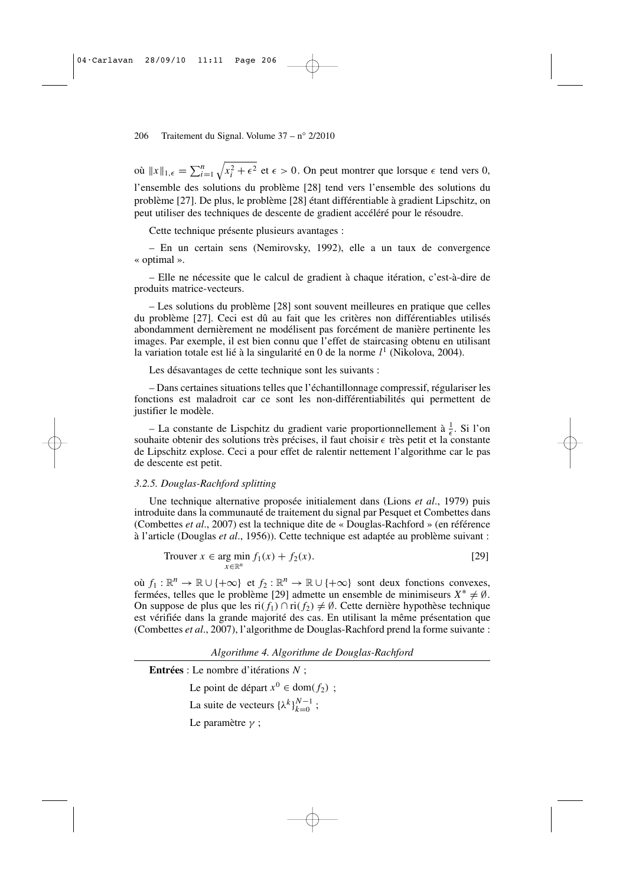où  $||x||_{1,\epsilon} = \sum_{i=1}^{n}$  $\sqrt{x_i^2 + \epsilon^2}$  et  $\epsilon > 0$ . On peut montrer que lorsque  $\epsilon$  tend vers 0, l'ensemble des solutions du problème [28] tend vers l'ensemble des solutions du problème [27]. De plus, le problème [28] étant différentiable à gradient Lipschitz, on peut utiliser des techniques de descente de gradient accéléré pour le résoudre.

Cette technique présente plusieurs avantages :

– En un certain sens (Nemirovsky, 1992), elle a un taux de convergence « optimal ».

– Elle ne nécessite que le calcul de gradient à chaque itération, c'est-à-dire de produits matrice-vecteurs.

– Les solutions du problème [28] sont souvent meilleures en pratique que celles du problème [27]. Ceci est dû au fait que les critères non différentiables utilisés abondamment dernièrement ne modélisent pas forcément de manière pertinente les images. Par exemple, il est bien connu que l'effet de staircasing obtenu en utilisant la variation totale est lié à la singularité en 0 de la norme *l* 1 (Nikolova, 2004).

Les désavantages de cette technique sont les suivants :

– Dans certaines situations telles que l'échantillonnage compressif, régulariser les fonctions est maladroit car ce sont les non-différentiabilités qui permettent de justifier le modèle.

– La constante de Lispchitz du gradient varie proportionnellement à  $\frac{1}{\epsilon}$ . Si l'on souhaite obtenir des solutions très précises, il faut choisir  $\epsilon$  très petit et la constante de Lipschitz explose. Ceci a pour effet de ralentir nettement l'algorithme car le pas de descente est petit.

#### *3.2.5. Douglas-Rachford splitting*

Une technique alternative proposée initialement dans (Lions *et al*., 1979) puis introduite dans la communauté de traitement du signal par Pesquet et Combettes dans (Combettes *et al*., 2007) est la technique dite de « Douglas-Rachford » (en référence à l'article (Douglas *et al*., 1956)). Cette technique est adaptée au problème suivant :

$$
\text{Trouver } x \in \underset{x \in \mathbb{R}^n}{\text{arg min }} f_1(x) + f_2(x). \tag{29}
$$

où  $f_1: \mathbb{R}^n \to \mathbb{R} \cup \{+\infty\}$  et  $f_2: \mathbb{R}^n \to \mathbb{R} \cup \{+\infty\}$  sont deux fonctions convexes, fermées, telles que le problème [29] admette un ensemble de minimiseurs  $X^* \neq \emptyset$ . On suppose de plus que les ri( $f_1$ ) ∩ ri( $f_2$ ) ≠ Ø. Cette dernière hypothèse technique est vérifiée dans la grande majorité des cas. En utilisant la même présentation que (Combettes *et al*., 2007), l'algorithme de Douglas-Rachford prend la forme suivante :

*Algorithme 4. Algorithme de Douglas-Rachford*

**Entrées** : Le nombre d'itérations *N* ;

Le point de départ  $x^0 \in \text{dom}(f_2)$ ;

La suite de vecteurs  $\{\lambda^k\}_{k=0}^{N-1}$ ;

Le paramètre γ ;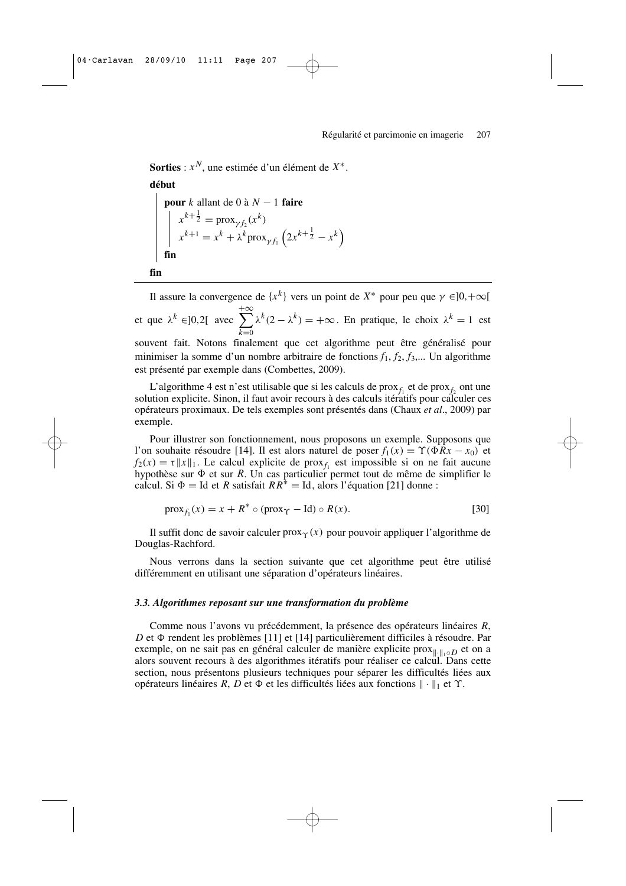**Sorties** : *x <sup>N</sup>*, une estimée d'un élément de *X* ∗ .

#### **début**

**pour** k allant de 0 à 
$$
N - 1
$$
 **faire**  
\n
$$
\begin{cases}\n x^{k + \frac{1}{2}} = \text{prox}_{\gamma f_2}(x^k) \\
 x^{k+1} = x^k + \lambda^k \text{prox}_{\gamma f_1} \left( 2x^{k + \frac{1}{2}} - x^k \right)\n\end{cases}
$$
\n**fin**

```
fin
```
Il assure la convergence de  $\{x^k\}$  vers un point de  $X^*$  pour peu que  $\gamma \in ]0, +\infty[$ et que  $\lambda^k \in ]0,2[$  avec  $\sum^{+\infty}$ *k*=<sup>0</sup>  $\lambda^{k}(2 - \lambda^{k}) = +\infty$ . En pratique, le choix  $\lambda^{k} = 1$  est souvent fait. Notons finalement que cet algorithme peut être généralisé pour minimiser la somme d'un nombre arbitraire de fonctions  $f_1, f_2, f_3,...$  Un algorithme est présenté par exemple dans (Combettes, 2009).

L'algorithme 4 est n'est utilisable que si les calculs de pro $x_{f_1}$  et de pro $x_{f_2}$  ont une solution explicite. Sinon, il faut avoir recours à des calculs itératifs pour calculer ces opérateurs proximaux. De tels exemples sont présentés dans (Chaux *et al*., 2009) par exemple.

Pour illustrer son fonctionnement, nous proposons un exemple. Supposons que l'on souhaite résoudre [14]. Il est alors naturel de poser  $f_1(x) = \Upsilon(\Phi Rx - x_0)$  et  $f_2(x) = \tau ||x||_1$ . Le calcul explicite de prox<sub>f<sub>1</sub></sub> est impossible si on ne fait aucune hypothèse sur  $\Phi$  et sur *R*. Un cas particulier permet tout de même de simplifier le calcul. Si  $\Phi = \text{Id}$  et *R* satisfait  $RR^* = \text{Id}$ , alors l'équation [21] donne :

$$
\text{prox}_{f_1}(x) = x + R^* \circ (\text{prox}_{\Upsilon} - \text{Id}) \circ R(x). \tag{30}
$$

Il suffit donc de savoir calculer  $prox_\gamma(x)$  pour pouvoir appliquer l'algorithme de Douglas-Rachford.

Nous verrons dans la section suivante que cet algorithme peut être utilisé différemment en utilisant une séparation d'opérateurs linéaires.

#### *3.3. Algorithmes reposant sur une transformation du problème*

Comme nous l'avons vu précédemment, la présence des opérateurs linéaires *R*, D et  $\Phi$  rendent les problèmes [11] et [14] particulièrement difficiles à résoudre. Par exemple, on ne sait pas en général calculer de manière explicite prox<sub>∥</sub><sub>∙*n*⋅*o*</sub>**D** et on a alors souvent recours à des algorithmes itératifs pour réaliser ce calcul. Dans cette section, nous présentons plusieurs techniques pour séparer les difficultés liées aux opérateurs linéaires *R*, *D* et Φ et les difficultés liées aux fonctions  $\|\cdot\|_1$  et  $\Upsilon$ .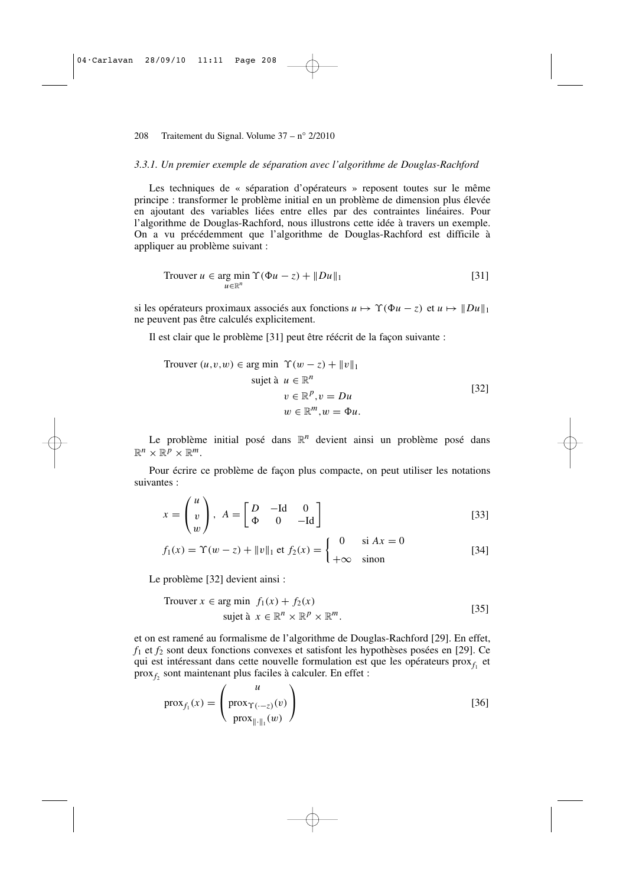#### *3.3.1. Un premier exemple de séparation avec l'algorithme de Douglas-Rachford*

Les techniques de « séparation d'opérateurs » reposent toutes sur le même principe : transformer le problème initial en un problème de dimension plus élevée en ajoutant des variables liées entre elles par des contraintes linéaires. Pour l'algorithme de Douglas-Rachford, nous illustrons cette idée à travers un exemple. On a vu précédemment que l'algorithme de Douglas-Rachford est difficile à appliquer au problème suivant :

$$
\text{Trouver } u \in \underset{u \in \mathbb{R}^n}{\text{arg min }} \Upsilon(\Phi u - z) + ||Du||_1 \tag{31}
$$

si les opérateurs proximaux associés aux fonctions  $u \mapsto \Upsilon(\Phi u - z)$  et  $u \mapsto ||Du||_1$ ne peuvent pas être calculés explicitement.

Il est clair que le problème [31] peut être réécrit de la façon suivante :

Trouver 
$$
(u, v, w) \in \arg\min \Upsilon(w - z) + \|v\|_1
$$

\nsujet à  $u \in \mathbb{R}^n$ 

\n $v \in \mathbb{R}^p, v = Du$ 

\n $w \in \mathbb{R}^m, w = \Phi u$ 

\n[32]

Le problème initial posé dans  $\mathbb{R}^n$  devient ainsi un problème posé dans  $\mathbb{R}^n \times \mathbb{R}^p \times \mathbb{R}^m$ .

Pour écrire ce problème de façon plus compacte, on peut utiliser les notations suivantes :

$$
x = \begin{pmatrix} u \\ v \\ w \end{pmatrix}, A = \begin{bmatrix} D & -\text{Id} & 0 \\ \Phi & 0 & -\text{Id} \end{bmatrix}
$$
 [33]

$$
f_1(x) = \Upsilon(w - z) + ||v||_1 \text{ et } f_2(x) = \begin{cases} 0 & \text{si } Ax = 0\\ +\infty & \text{sinon} \end{cases}
$$
 [34]

Le problème [32] devient ainsi :

Trouver 
$$
x \in \arg \min f_1(x) + f_2(x)
$$

\nsujet à  $x \in \mathbb{R}^n \times \mathbb{R}^p \times \mathbb{R}^m$ .

\n[35]

et on est ramené au formalisme de l'algorithme de Douglas-Rachford [29]. En effet,  $f_1$  et  $f_2$  sont deux fonctions convexes et satisfont les hypothèses posées en [29]. Ce qui est intéressant dans cette nouvelle formulation est que les opérateurs prox $f_1$  et prox*f*<sup>2</sup> sont maintenant plus faciles à calculer. En effet :

$$
\text{prox}_{f_1}(x) = \begin{pmatrix} u \\ \text{prox}_{\Upsilon(\cdot - z)}(v) \\ \text{prox}_{\|\cdot\|_1}(w) \end{pmatrix}
$$
 [36]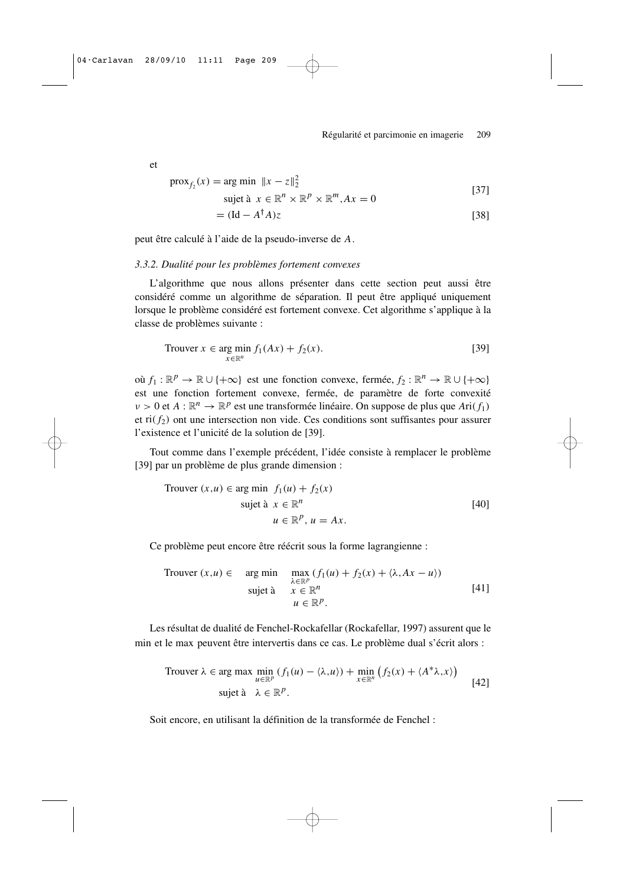et

$$
\text{prox}_{f_2}(x) = \text{arg min } \|x - z\|_2^2
$$
  
\n
$$
\text{sujet à } x \in \mathbb{R}^n \times \mathbb{R}^p \times \mathbb{R}^m, Ax = 0
$$
  
\n
$$
= (\text{Id} - A^{\dagger} A)z
$$
\n[38]

peut être calculé à l'aide de la pseudo-inverse de *A*.

#### *3.3.2. Dualité pour les problèmes fortement convexes*

L'algorithme que nous allons présenter dans cette section peut aussi être considéré comme un algorithme de séparation. Il peut être appliqué uniquement lorsque le problème considéré est fortement convexe. Cet algorithme s'applique à la classe de problèmes suivante :

$$
\text{Trouver } x \in \underset{x \in \mathbb{R}^n}{\text{arg min }} f_1(Ax) + f_2(x). \tag{39}
$$

où  $f_1 : \mathbb{R}^p \to \mathbb{R} \cup \{+\infty\}$  est une fonction convexe, fermée,  $f_2 : \mathbb{R}^n \to \mathbb{R} \cup \{+\infty\}$ est une fonction fortement convexe, fermée, de paramètre de forte convexité  $\nu > 0$  et  $A : \mathbb{R}^n \to \mathbb{R}^p$  est une transformée linéaire. On suppose de plus que  $Ari(f_1)$ et  $\text{ri}(f_2)$  ont une intersection non vide. Ces conditions sont suffisantes pour assurer l'existence et l'unicité de la solution de [39].

Tout comme dans l'exemple précédent, l'idée consiste à remplacer le problème [39] par un problème de plus grande dimension :

Trouver 
$$
(x, u) \in \arg\min f_1(u) + f_2(x)
$$

\nsujet à  $x \in \mathbb{R}^n$ 

\n $u \in \mathbb{R}^p$ ,  $u = Ax$ 

\n[40]

Ce problème peut encore être réécrit sous la forme lagrangienne :

Trouver 
$$
(x, u) \in \text{arg min}
$$

\n
$$
\begin{array}{ll}\n\text{max} & (f_1(u) + f_2(x) + \langle \lambda, Ax - u \rangle) \\
\text{subject } \n\lambda & x \in \mathbb{R}^n \\
& u \in \mathbb{R}^p.\n\end{array} \tag{41}
$$

Les résultat de dualité de Fenchel-Rockafellar (Rockafellar, 1997) assurent que le min et le max peuvent être intervertis dans ce cas. Le problème dual s'écrit alors :

Trouver 
$$
\lambda
$$
 ∈ arg max min<sub>*u*∈ℝ<sup>*p*</sup></sub> (f<sub>1</sub>(*u*) –  $\langle \lambda, u \rangle$ ) + min<sub>*x*∈ℝ<sup>*n*</sup></sub> (f<sub>2</sub>(*x*) +  $\langle A^* \lambda, x \rangle$ )  
sujet à  $\lambda \in \mathbb{R}^p$ . [42]

Soit encore, en utilisant la définition de la transformée de Fenchel :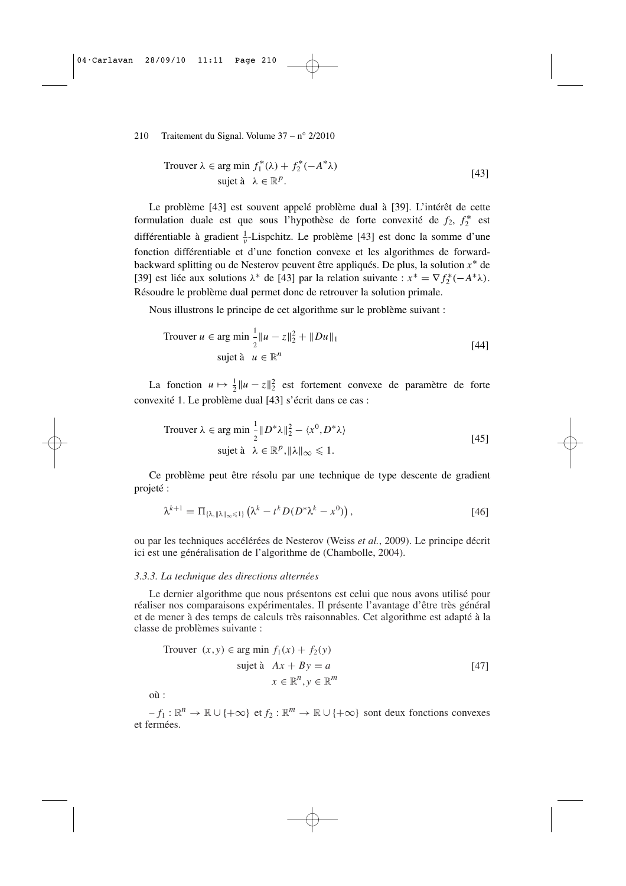Trouver 
$$
λ ∈ arg min f_1^*(λ) + f_2^*(-A^*λ)
$$
  
sujet à  $λ ∈ ℝp$ . [43]

Le problème [43] est souvent appelé problème dual à [39]. L'intérêt de cette formulation duale est que sous l'hypothèse de forte convexité de  $f_2$ ,  $f_2^*$  est différentiable à gradient  $\frac{1}{v}$ -Lispchitz. Le problème [43] est donc la somme d'une fonction différentiable et d'une fonction convexe et les algorithmes de forwardbackward splitting ou de Nesterov peuvent être appliqués. De plus, la solution *x* ∗ de [39] est liée aux solutions  $\lambda^*$  de [43] par la relation suivante :  $x^* = \nabla f_2^*(-A^*\lambda)$ . Résoudre le problème dual permet donc de retrouver la solution primale.

Nous illustrons le principe de cet algorithme sur le problème suivant :

Trouver 
$$
u \in \arg \min \frac{1}{2} \|u - z\|_2^2 + \|Du\|_1
$$

\nsujet à  $u \in \mathbb{R}^n$ 

\n[44]

La fonction  $u \mapsto \frac{1}{2} ||u - z||_2^2$  est fortement convexe de paramètre de forte convexité 1. Le problème dual [43] s'écrit dans ce cas :

Trouver 
$$
\lambda \in \arg \min_{2} \frac{1}{2} ||D^* \lambda||_2^2 - \langle x^0, D^* \lambda \rangle
$$
  
sujet à  $\lambda \in \mathbb{R}^p$ ,  $||\lambda||_{\infty} \leq 1$ . [45]

Ce problème peut être résolu par une technique de type descente de gradient projeté :

$$
\lambda^{k+1} = \Pi_{\{\lambda, \|\lambda\|_{\infty} \leq 1\}} \left( \lambda^k - t^k D(D^* \lambda^k - x^0) \right), \tag{46}
$$

ou par les techniques accélérées de Nesterov (Weiss *et al.*, 2009). Le principe décrit ici est une généralisation de l'algorithme de (Chambolle, 2004).

#### *3.3.3. La technique des directions alternées*

Le dernier algorithme que nous présentons est celui que nous avons utilisé pour réaliser nos comparaisons expérimentales. Il présente l'avantage d'être très général et de mener à des temps de calculs très raisonnables. Cet algorithme est adapté à la classe de problèmes suivante :

Trouver 
$$
(x, y) \in \arg \min f_1(x) + f_2(y)
$$

\nsujet à  $Ax + By = a$ 

\n $x \in \mathbb{R}^n, y \in \mathbb{R}^m$ 

où :

 $-f_1: \mathbb{R}^n \to \mathbb{R} \cup \{+\infty\}$  et  $f_2: \mathbb{R}^m \to \mathbb{R} \cup \{+\infty\}$  sont deux fonctions convexes et fermées.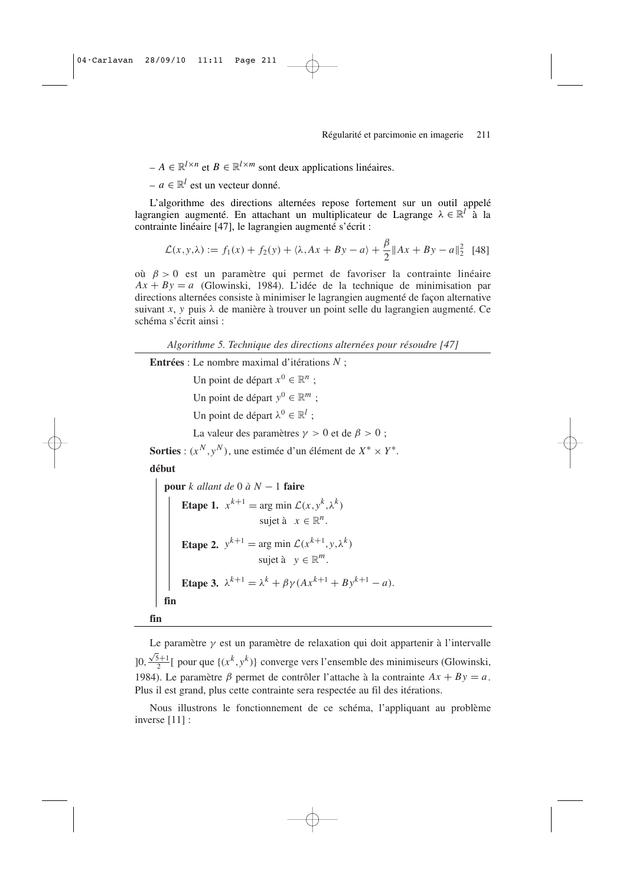$A \in \mathbb{R}^{l \times n}$  et  $B \in \mathbb{R}^{l \times m}$  sont deux applications linéaires.

 $− a ∈ ℝ<sup>l</sup>$  est un vecteur donné.

L'algorithme des directions alternées repose fortement sur un outil appelé lagrangien augmenté. En attachant un multiplicateur de Lagrange  $\lambda \in \mathbb{R}^l$  à la contrainte linéaire [47], le lagrangien augmenté s'écrit :

$$
\mathcal{L}(x, y, \lambda) := f_1(x) + f_2(y) + \langle \lambda, Ax + By - a \rangle + \frac{\beta}{2} \|Ax + By - a\|_2^2 \tag{48}
$$

où β > 0 est un paramètre qui permet de favoriser la contrainte linéaire  $Ax + By = a$  (Glowinski, 1984). L'idée de la technique de minimisation par directions alternées consiste à minimiser le lagrangien augmenté de façon alternative suivant *x*, *y* puis  $\lambda$  de manière à trouver un point selle du lagrangien augmenté. Ce schéma s'écrit ainsi :

*Algorithme 5. Technique des directions alternées pour résoudre [47]*

**Entrées** : Le nombre maximal d'itérations *N* ;

Un point de départ  $x^0 \in \mathbb{R}^n$ ;

Un point de départ  $y^0 \in \mathbb{R}^m$ ;

Un point de départ  $\lambda^0 \in \mathbb{R}^l$ ;

La valeur des paramètres  $\gamma > 0$  et de  $\beta > 0$ ;

**Sorties** :  $(x^N, y^N)$ , une estimée d'un élément de  $X^* \times Y^*$ .

**début**

pour *k allant de* 0 à *N* – 1 **faire**

\nEtape 1. 
$$
x^{k+1} = \arg \min \mathcal{L}(x, y^k, \lambda^k)
$$
sujet à 
$$
x \in \mathbb{R}^n
$$
.

\nEtape 2. 
$$
y^{k+1} = \arg \min \mathcal{L}(x^{k+1}, y, \lambda^k)
$$
sujet à 
$$
y \in \mathbb{R}^m
$$
.

\nEtape 3. 
$$
\lambda^{k+1} = \lambda^k + \beta \gamma (Ax^{k+1} + By^{k+1} - a)
$$
.

\nfin

**fin**

Le paramètre  $\gamma$  est un paramètre de relaxation qui doit appartenir à l'intervalle  $]0, \frac{\sqrt{5}+1}{2}[$  pour que  $\{(x^k, y^k)\}$  converge vers l'ensemble des minimiseurs (Glowinski, 1984). Le paramètre  $\beta$  permet de contrôler l'attache à la contrainte  $Ax + By = a$ . Plus il est grand, plus cette contrainte sera respectée au fil des itérations.

Nous illustrons le fonctionnement de ce schéma, l'appliquant au problème inverse [11] :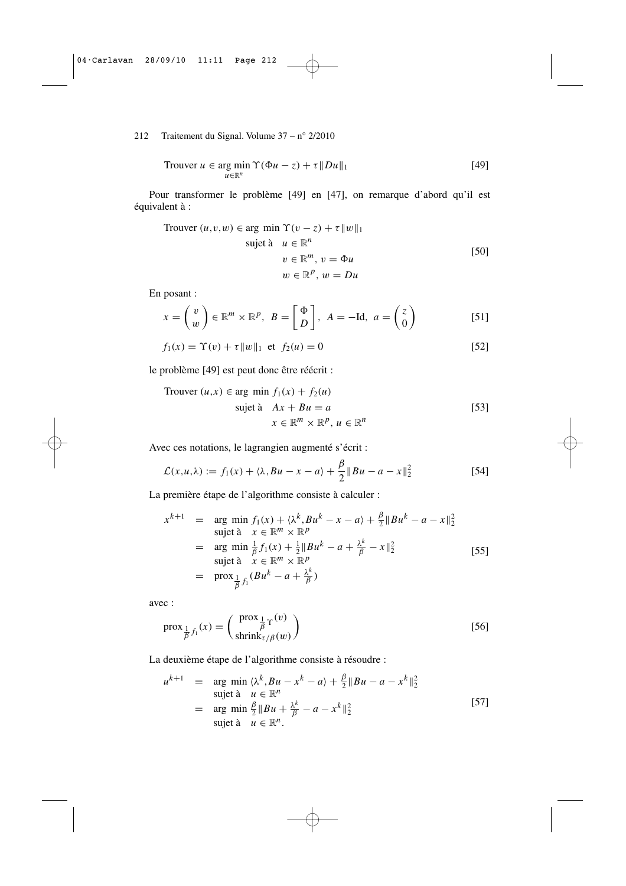212 Traitement du Signal. Volume 37 – n° 2/2010

Trouver 
$$
u \in \arg\min_{u \in \mathbb{R}^n} \Upsilon(\Phi u - z) + \tau \|Du\|_1
$$

\n[49]

Pour transformer le problème [49] en [47], on remarque d'abord qu'il est équivalent à :

Trouver 
$$
(u, v, w) \in \arg \min \Upsilon(v - z) + \tau \|w\|_1
$$

\nsujet à  $u \in \mathbb{R}^n$ 

\n $v \in \mathbb{R}^m$ ,  $v = \Phi u$ 

\n $w \in \mathbb{R}^p$ ,  $w = Du$ 

\n[50]

En posant :

$$
x = \begin{pmatrix} v \\ w \end{pmatrix} \in \mathbb{R}^m \times \mathbb{R}^p, \ B = \begin{bmatrix} \Phi \\ D \end{bmatrix}, \ A = -\text{Id}, \ a = \begin{pmatrix} z \\ 0 \end{pmatrix} \tag{51}
$$

$$
f_1(x) = \Upsilon(v) + \tau \|w\|_1 \text{ et } f_2(u) = 0
$$
 [52]

le problème [49] est peut donc être réécrit :

Trouver 
$$
(u, x) \in \text{arg min } f_1(x) + f_2(u)
$$

\nsujet à  $Ax + Bu = a$ 

\n
$$
x \in \mathbb{R}^m \times \mathbb{R}^p, u \in \mathbb{R}^n
$$
\n[53]

Avec ces notations, le lagrangien augmenté s'écrit :

$$
\mathcal{L}(x, u, \lambda) := f_1(x) + \langle \lambda, Bu - x - a \rangle + \frac{\beta}{2} || Bu - a - x ||_2^2
$$
 [54]

β

La première étape de l'algorithme consiste à calculer :

$$
x^{k+1} = \arg \min_{x} f_1(x) + \langle \lambda^k, Bu^k - x - a \rangle + \frac{\beta}{2} ||Bu^k - a - x||_2^2
$$
  
subject  $\mathbf{a} \times \in \mathbb{R}^m \times \mathbb{R}^p$   

$$
= \arg \min_{\mathbf{a}} \frac{1}{\beta} f_1(x) + \frac{1}{2} ||Bu^k - a + \frac{\lambda^k}{\beta} - x||_2^2
$$
  
subject  $\mathbf{a} \times \in \mathbb{R}^m \times \mathbb{R}^p$   

$$
= \text{prox}_{\frac{1}{\beta} f_1} (Bu^k - a + \frac{\lambda^k}{\beta})
$$
 [55]

avec :

$$
\text{prox}_{\frac{1}{\beta}f_1}(x) = \begin{pmatrix} \text{prox}_{\frac{1}{\beta}\Upsilon}(v) \\ \text{shrink}_{\tau/\beta}(w) \end{pmatrix}
$$
 [56]

La deuxième étape de l'algorithme consiste à résoudre :

$$
u^{k+1} = \arg \min_{\lambda} \langle \lambda^k, Bu - x^k - a \rangle + \frac{\beta}{2} || Bu - a - x^k ||_2^2
$$
  
subject  $\mathbf{\hat{a}} \quad u \in \mathbb{R}^n$   

$$
= \arg \min_{\mathbf{\hat{b}}} \frac{\beta}{2} || Bu + \frac{\lambda^k}{\beta} - a - x^k ||_2^2
$$
  
subject  $\mathbf{\hat{a}} \quad u \in \mathbb{R}^n$ . [57]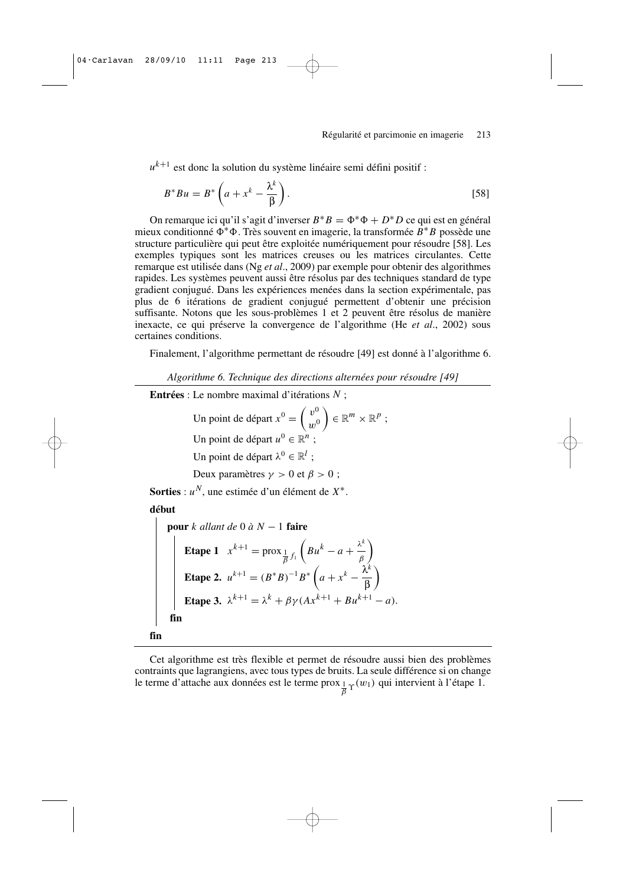*u k*+<sup>1</sup> est donc la solution du système linéaire semi défini positif :

$$
B^*Bu = B^* \left( a + x^k - \frac{\lambda^k}{\beta} \right). \tag{58}
$$

On remarque ici qu'il s'agit d'inverser  $B^*B = \Phi^*\Phi + D^*D$  ce qui est en général mieux conditionné Ф<sup>∗</sup>Ф. Très souvent en imagerie, la transformée B<sup>∗</sup>B possède une structure particulière qui peut être exploitée numériquement pour résoudre [58]. Les exemples typiques sont les matrices creuses ou les matrices circulantes. Cette remarque est utilisée dans (Ng *et al*., 2009) par exemple pour obtenir des algorithmes rapides. Les systèmes peuvent aussi être résolus par des techniques standard de type gradient conjugué. Dans les expériences menées dans la section expérimentale, pas plus de 6 itérations de gradient conjugué permettent d'obtenir une précision suffisante. Notons que les sous-problèmes 1 et 2 peuvent être résolus de manière inexacte, ce qui préserve la convergence de l'algorithme (He *et al*., 2002) sous certaines conditions.

Finalement, l'algorithme permettant de résoudre [49] est donné à l'algorithme 6.

*Algorithme 6. Technique des directions alternées pour résoudre [49]*

**Entrées** : Le nombre maximal d'itérations *N* ;

Un point de départ  $x^0 = \begin{pmatrix} v^0 \\ w^0 \end{pmatrix}$  $w^0$  $\Big) \in \mathbb{R}^m \times \mathbb{R}^p;$ Un point de départ  $u^0 \in \mathbb{R}^n$ ; Un point de départ  $\lambda^0 \in \mathbb{R}^l$ ; Deux paramètres  $\gamma > 0$  et  $\beta > 0$ ; **Sorties** : *u <sup>N</sup>*, une estimée d'un élément de *X* ∗ . **début pour** *k allant de* 0 *à N* − 1 **faire Etape 1**  $x^{k+1} = \text{prox}_{\frac{1}{\beta}f_1}$  $\left(\frac{Bu^k-a+\frac{\lambda^k}{\beta}\right)$ β  $\setminus$ **Etape 2.**  $u^{k+1} = (B^*B)^{-1}B^* \left(a + x^k - \frac{\lambda^k}{\beta}\right)$ β  $\setminus$ **Etape 3.**  $\lambda^{k+1} = \lambda^k + \beta \gamma (Ax^{k+1} + Bu^{k+1} - a).$ **fin fin**

Cet algorithme est très flexible et permet de résoudre aussi bien des problèmes contraints que lagrangiens, avec tous types de bruits. La seule différence si on change le terme d'attache aux données est le terme prox  $\frac{1}{\beta} \gamma(w_1)$  qui intervient à l'étape 1.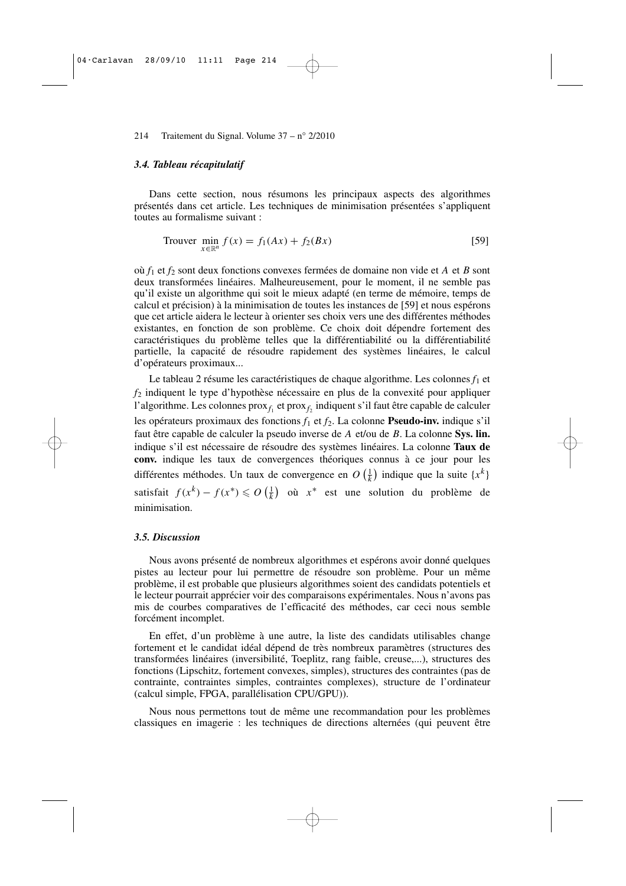#### *3.4. Tableau récapitulatif*

Dans cette section, nous résumons les principaux aspects des algorithmes présentés dans cet article. Les techniques de minimisation présentées s'appliquent toutes au formalisme suivant :

$$
\text{Trouver } \min_{x \in \mathbb{R}^n} f(x) = f_1(Ax) + f_2(Bx) \tag{59}
$$

où *f*<sup>1</sup> et *f*<sup>2</sup> sont deux fonctions convexes fermées de domaine non vide et *A* et *B* sont deux transformées linéaires. Malheureusement, pour le moment, il ne semble pas qu'il existe un algorithme qui soit le mieux adapté (en terme de mémoire, temps de calcul et précision) à la minimisation de toutes les instances de [59] et nous espérons que cet article aidera le lecteur à orienter ses choix vers une des différentes méthodes existantes, en fonction de son problème. Ce choix doit dépendre fortement des caractéristiques du problème telles que la différentiabilité ou la différentiabilité partielle, la capacité de résoudre rapidement des systèmes linéaires, le calcul d'opérateurs proximaux...

Le tableau 2 résume les caractéristiques de chaque algorithme. Les colonnes  $f_1$  et *f*<sup>2</sup> indiquent le type d'hypothèse nécessaire en plus de la convexité pour appliquer l'algorithme. Les colonnes prox<sub>*f*1</sub> et prox<sub>*f*2</sub> indiquent s'il faut être capable de calculer les opérateurs proximaux des fonctions *f*<sup>1</sup> et *f*2. La colonne **Pseudo-inv.** indique s'il faut être capable de calculer la pseudo inverse de *A* et/ou de *B*. La colonne **Sys. lin.** indique s'il est nécessaire de résoudre des systèmes linéaires. La colonne **Taux de conv.** indique les taux de convergences théoriques connus à ce jour pour les différentes méthodes. Un taux de convergence en  $O\left(\frac{1}{k}\right)$  indique que la suite  $\{x^k\}$ satisfait  $f(x^k) - f(x^*) \le O\left(\frac{1}{k}\right)$  où  $x^*$  est une solution du problème de minimisation.

#### *3.5. Discussion*

Nous avons présenté de nombreux algorithmes et espérons avoir donné quelques pistes au lecteur pour lui permettre de résoudre son problème. Pour un même problème, il est probable que plusieurs algorithmes soient des candidats potentiels et le lecteur pourrait apprécier voir des comparaisons expérimentales. Nous n'avons pas mis de courbes comparatives de l'efficacité des méthodes, car ceci nous semble forcément incomplet.

En effet, d'un problème à une autre, la liste des candidats utilisables change fortement et le candidat idéal dépend de très nombreux paramètres (structures des transformées linéaires (inversibilité, Toeplitz, rang faible, creuse,...), structures des fonctions (Lipschitz, fortement convexes, simples), structures des contraintes (pas de contrainte, contraintes simples, contraintes complexes), structure de l'ordinateur (calcul simple, FPGA, parallélisation CPU/GPU)).

Nous nous permettons tout de même une recommandation pour les problèmes classiques en imagerie : les techniques de directions alternées (qui peuvent être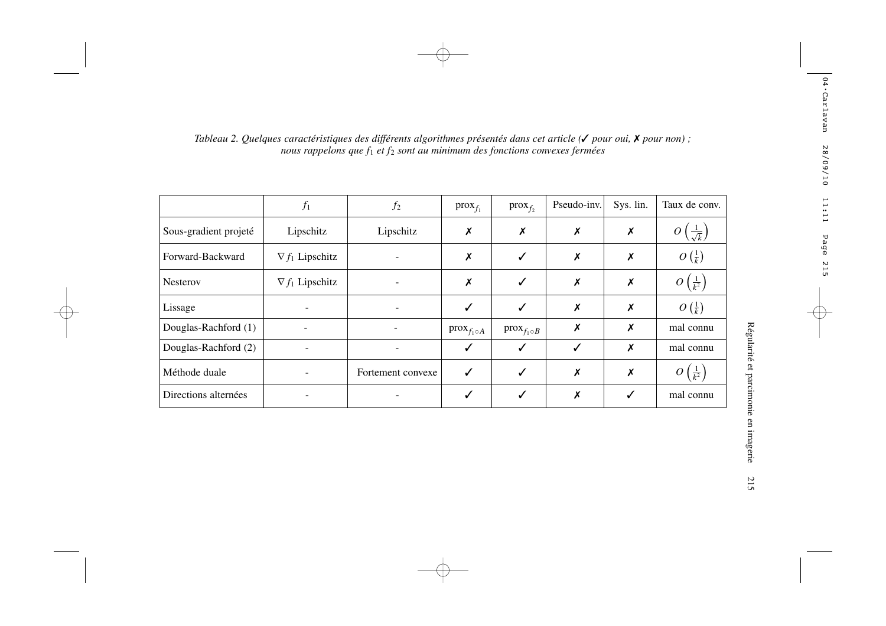|                       | $f_1$                  | $f_2$             | $prox_{f_1}$              | $prox_{f_2}$         | Pseudo-inv.  | Sys. lin.        | Taux de conv.                 |
|-----------------------|------------------------|-------------------|---------------------------|----------------------|--------------|------------------|-------------------------------|
| Sous-gradient projeté | Lipschitz              | Lipschitz         | $\boldsymbol{x}$          | X                    | X            | $\boldsymbol{x}$ | $\overline{\sqrt{k}}$         |
| Forward-Backward      | $\nabla f_1$ Lipschitz |                   | $\boldsymbol{x}$          | ✓                    | X            | X                | $O\left(\frac{1}{k}\right)$   |
| <b>Nesterov</b>       | $\nabla f_1$ Lipschitz |                   | $\boldsymbol{\mathsf{x}}$ | ✓                    | Х            | X                | $O\left(\frac{1}{k^2}\right)$ |
| Lissage               |                        |                   | ✓                         | ✓                    | X            | X                | $O\left(\frac{1}{k}\right)$   |
| Douglas-Rachford (1)  |                        |                   | $prox_{f_1 \circ A}$      | $prox_{f_1 \circ B}$ | Х            | X                | mal connu                     |
| Douglas-Rachford (2)  |                        |                   | ✓                         | ✓                    | $\checkmark$ | X                | mal connu                     |
| Méthode duale         |                        | Fortement convexe | ✓                         | ✓                    | X            | X                | $\bm{O}$<br>$\frac{1}{k^2}$   |
| Directions alternées  |                        |                   | ✓                         | ✓                    | Х            | $\checkmark$     | mal connu                     |

# Tableau 2. Quelques caractéristiques des différents algorithmes présentés dans cet article ( $\checkmark$  pour oui,  $\checkmark$  pour non);<br>nous rappelons que f<sub>1</sub> et f<sub>2</sub> sont au minimum des fonctions convexes fermées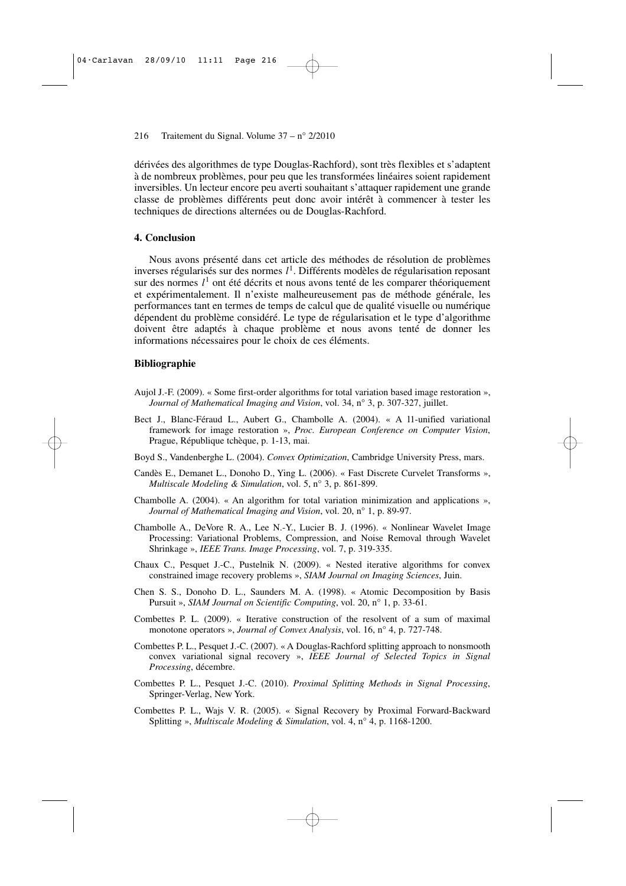dérivées des algorithmes de type Douglas-Rachford), sont très flexibles et s'adaptent à de nombreux problèmes, pour peu que les transformées linéaires soient rapidement inversibles. Un lecteur encore peu averti souhaitant s'attaquer rapidement une grande classe de problèmes différents peut donc avoir intérêt à commencer à tester les techniques de directions alternées ou de Douglas-Rachford.

#### **4. Conclusion**

Nous avons présenté dans cet article des méthodes de résolution de problèmes inverses régularisés sur des normes *l* 1 . Différents modèles de régularisation reposant sur des normes *l* 1 ont été décrits et nous avons tenté de les comparer théoriquement et expérimentalement. Il n'existe malheureusement pas de méthode générale, les performances tant en termes de temps de calcul que de qualité visuelle ou numérique dépendent du problème considéré. Le type de régularisation et le type d'algorithme doivent être adaptés à chaque problème et nous avons tenté de donner les informations nécessaires pour le choix de ces éléments.

#### **Bibliographie**

- Aujol J.-F. (2009). « Some first-order algorithms for total variation based image restoration », *Journal of Mathematical Imaging and Vision*, vol. 34, n° 3, p. 307-327, juillet.
- Bect J., Blanc-Féraud L., Aubert G., Chambolle A. (2004). « A l1-unified variational framework for image restoration », *Proc. European Conference on Computer Vision*, Prague, République tchèque, p. 1-13, mai.
- Boyd S., Vandenberghe L. (2004). *Convex Optimization*, Cambridge University Press, mars.
- Candès E., Demanet L., Donoho D., Ying L. (2006). « Fast Discrete Curvelet Transforms », *Multiscale Modeling & Simulation*, vol. 5, n° 3, p. 861-899.
- Chambolle A. (2004). « An algorithm for total variation minimization and applications », *Journal of Mathematical Imaging and Vision*, vol. 20, n° 1, p. 89-97.
- Chambolle A., DeVore R. A., Lee N.-Y., Lucier B. J. (1996). « Nonlinear Wavelet Image Processing: Variational Problems, Compression, and Noise Removal through Wavelet Shrinkage », *IEEE Trans. Image Processing*, vol. 7, p. 319-335.
- Chaux C., Pesquet J.-C., Pustelnik N. (2009). « Nested iterative algorithms for convex constrained image recovery problems », *SIAM Journal on Imaging Sciences*, Juin.
- Chen S. S., Donoho D. L., Saunders M. A. (1998). « Atomic Decomposition by Basis Pursuit », *SIAM Journal on Scientific Computing*, vol. 20, n° 1, p. 33-61.
- Combettes P. L. (2009). « Iterative construction of the resolvent of a sum of maximal monotone operators », *Journal of Convex Analysis*, vol. 16, n° 4, p. 727-748.
- Combettes P. L., Pesquet J.-C. (2007). « A Douglas-Rachford splitting approach to nonsmooth convex variational signal recovery », *IEEE Journal of Selected Topics in Signal Processing*, décembre.
- Combettes P. L., Pesquet J.-C. (2010). *Proximal Splitting Methods in Signal Processing*, Springer-Verlag, New York.
- Combettes P. L., Wajs V. R. (2005). « Signal Recovery by Proximal Forward-Backward Splitting », *Multiscale Modeling & Simulation*, vol. 4, n° 4, p. 1168-1200.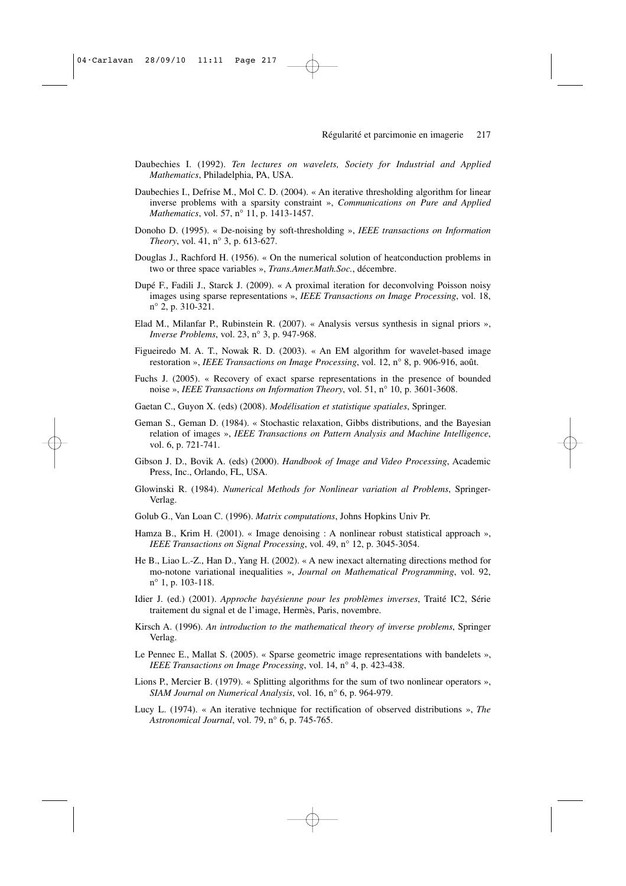- Daubechies I. (1992). *Ten lectures on wavelets, Society for Industrial and Applied Mathematics*, Philadelphia, PA, USA.
- Daubechies I., Defrise M., Mol C. D. (2004). « An iterative thresholding algorithm for linear inverse problems with a sparsity constraint », *Communications on Pure and Applied Mathematics*, vol. 57, n° 11, p. 1413-1457.
- Donoho D. (1995). « De-noising by soft-thresholding », *IEEE transactions on Information Theory*, vol. 41, n° 3, p. 613-627.
- Douglas J., Rachford H. (1956). « On the numerical solution of heatconduction problems in two or three space variables », *Trans.Amer.Math.Soc.*, décembre.
- Dupé F., Fadili J., Starck J. (2009). « A proximal iteration for deconvolving Poisson noisy images using sparse representations », *IEEE Transactions on Image Processing*, vol. 18, n° 2, p. 310-321.
- Elad M., Milanfar P., Rubinstein R. (2007). « Analysis versus synthesis in signal priors », *Inverse Problems*, vol. 23, n° 3, p. 947-968.
- Figueiredo M. A. T., Nowak R. D. (2003). « An EM algorithm for wavelet-based image restoration », *IEEE Transactions on Image Processing*, vol. 12, n° 8, p. 906-916, août.
- Fuchs J. (2005). « Recovery of exact sparse representations in the presence of bounded noise », *IEEE Transactions on Information Theory*, vol. 51, n° 10, p. 3601-3608.
- Gaetan C., Guyon X. (eds) (2008). *Modélisation et statistique spatiales*, Springer.
- Geman S., Geman D. (1984). « Stochastic relaxation, Gibbs distributions, and the Bayesian relation of images », *IEEE Transactions on Pattern Analysis and Machine Intelligence*, vol. 6, p. 721-741.
- Gibson J. D., Bovik A. (eds) (2000). *Handbook of Image and Video Processing*, Academic Press, Inc., Orlando, FL, USA.
- Glowinski R. (1984). *Numerical Methods for Nonlinear variation al Problems*, Springer-Verlag.
- Golub G., Van Loan C. (1996). *Matrix computations*, Johns Hopkins Univ Pr.
- Hamza B., Krim H. (2001). « Image denoising : A nonlinear robust statistical approach », *IEEE Transactions on Signal Processing*, vol. 49, n° 12, p. 3045-3054.
- He B., Liao L.-Z., Han D., Yang H. (2002). « A new inexact alternating directions method for mo-notone variational inequalities », *Journal on Mathematical Programming*, vol. 92, n° 1, p. 103-118.
- Idier J. (ed.) (2001). *Approche bayésienne pour les problèmes inverses*, Traité IC2, Série traitement du signal et de l'image, Hermès, Paris, novembre.
- Kirsch A. (1996). *An introduction to the mathematical theory of inverse problems*, Springer Verlag.
- Le Pennec E., Mallat S. (2005). « Sparse geometric image representations with bandelets », *IEEE Transactions on Image Processing*, vol. 14, n° 4, p. 423-438.
- Lions P., Mercier B. (1979). « Splitting algorithms for the sum of two nonlinear operators », *SIAM Journal on Numerical Analysis*, vol. 16, n° 6, p. 964-979.
- Lucy L. (1974). « An iterative technique for rectification of observed distributions », *The Astronomical Journal*, vol. 79, n° 6, p. 745-765.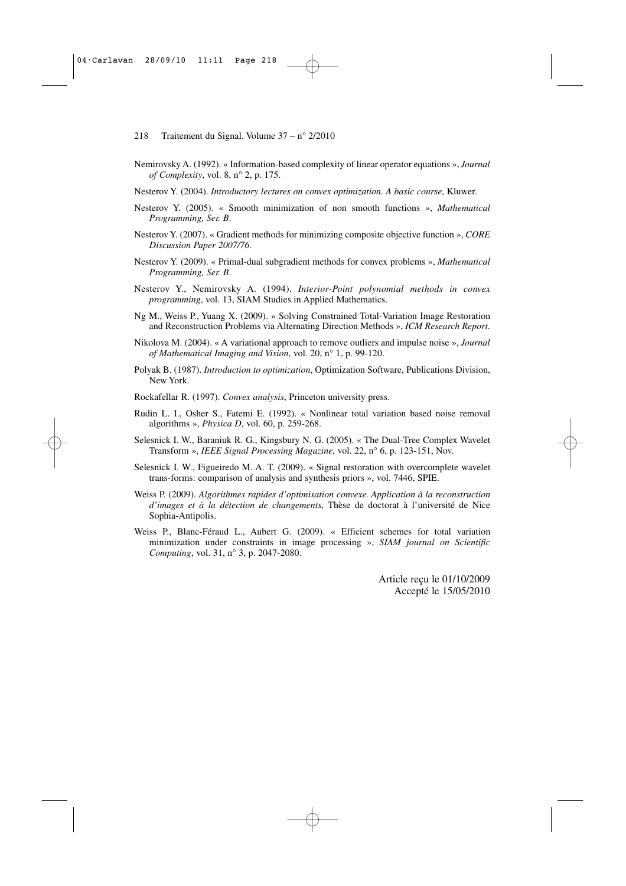- Nemirovsky A. (1992). « Information-based complexity of linear operator equations », *Journal of Complexity*, vol. 8, n° 2, p. 175.
- Nesterov Y. (2004). *Introductory lectures on convex optimization. A basic course*, Kluwer.
- Nesterov Y. (2005). « Smooth minimization of non smooth functions », *Mathematical Programming, Ser. B*.
- Nesterov Y. (2007). « Gradient methods for minimizing composite objective function », *CORE Discussion Paper 2007/76*.
- Nesterov Y. (2009). « Primal-dual subgradient methods for convex problems », *Mathematical Programming, Ser. B*.
- Nesterov Y., Nemirovsky A. (1994). *Interior-Point polynomial methods in convex programming*, vol. 13, SIAM Studies in Applied Mathematics.
- Ng M., Weiss P., Yuang X. (2009). « Solving Constrained Total-Variation Image Restoration and Reconstruction Problems via Alternating Direction Methods », *ICM Research Report*.
- Nikolova M. (2004). « A variational approach to remove outliers and impulse noise », *Journal of Mathematical Imaging and Vision*, vol. 20, n° 1, p. 99-120.
- Polyak B. (1987). *Introduction to optimization*, Optimization Software, Publications Division, New York.
- Rockafellar R. (1997). *Convex analysis*, Princeton university press.
- Rudin L. I., Osher S., Fatemi E. (1992). « Nonlinear total variation based noise removal algorithms », *Physica D*, vol. 60, p. 259-268.
- Selesnick I. W., Baraniuk R. G., Kingsbury N. G. (2005). « The Dual-Tree Complex Wavelet Transform », *IEEE Signal Processing Magazine*, vol. 22, n° 6, p. 123-151, Nov.
- Selesnick I. W., Figueiredo M. A. T. (2009). « Signal restoration with overcomplete wavelet trans-forms: comparison of analysis and synthesis priors », vol. 7446, SPIE.
- Weiss P. (2009). *Algorithmes rapides d'optimisation convexe. Application à la reconstruction d'images et à la détection de changements*, Thèse de doctorat à l'université de Nice Sophia-Antipolis.
- Weiss P., Blanc-Féraud L., Aubert G. (2009). « Efficient schemes for total variation minimization under constraints in image processing », *SIAM journal on Scientific Computing*, vol. 31, n° 3, p. 2047-2080.

Article reçu le 01/10/2009 Accepté le 15/05/2010